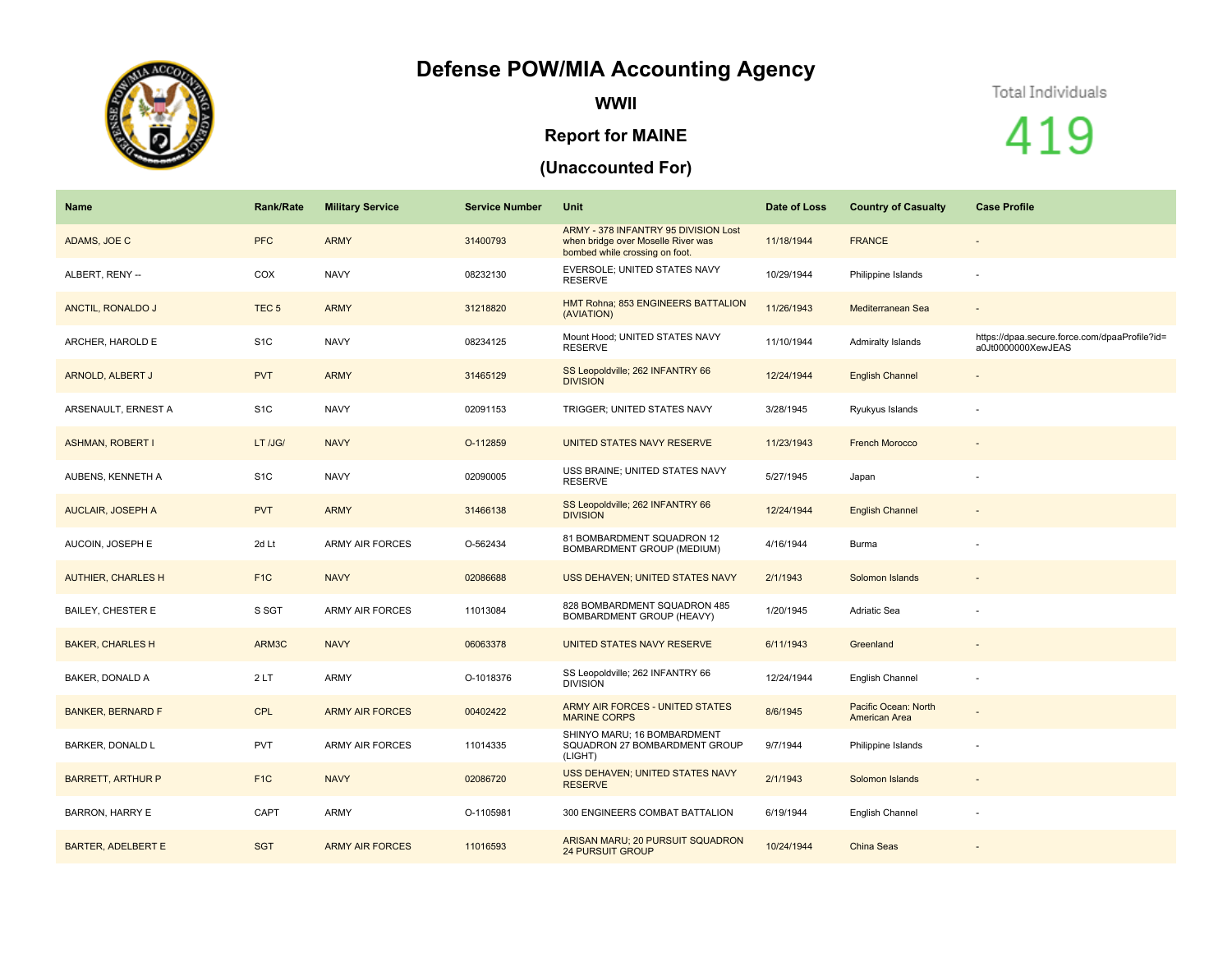## **Defense POW/MIA Accounting Agency**



**WWII**

## **Report for MAINE**

## **(Unaccounted For)**

## Total Individuals

419

| Name                      | <b>Rank/Rate</b> | <b>Military Service</b> | <b>Service Number</b> | Unit                                                                                                         | Date of Loss | <b>Country of Casualty</b>            | <b>Case Profile</b>                                                 |
|---------------------------|------------------|-------------------------|-----------------------|--------------------------------------------------------------------------------------------------------------|--------------|---------------------------------------|---------------------------------------------------------------------|
| ADAMS, JOE C              | <b>PFC</b>       | <b>ARMY</b>             | 31400793              | ARMY - 378 INFANTRY 95 DIVISION Lost<br>when bridge over Moselle River was<br>bombed while crossing on foot. | 11/18/1944   | <b>FRANCE</b>                         |                                                                     |
| ALBERT, RENY --           | COX              | <b>NAVY</b>             | 08232130              | EVERSOLE; UNITED STATES NAVY<br><b>RESERVE</b>                                                               | 10/29/1944   | Philippine Islands                    |                                                                     |
| ANCTIL, RONALDO J         | TEC <sub>5</sub> | <b>ARMY</b>             | 31218820              | HMT Rohna; 853 ENGINEERS BATTALION<br>(AVIATION)                                                             | 11/26/1943   | Mediterranean Sea                     | $\sim$                                                              |
| ARCHER, HAROLD E          | S <sub>1</sub> C | <b>NAVY</b>             | 08234125              | Mount Hood; UNITED STATES NAVY<br><b>RESERVE</b>                                                             | 11/10/1944   | <b>Admiralty Islands</b>              | https://dpaa.secure.force.com/dpaaProfile?id=<br>a0Jt0000000XewJEAS |
| ARNOLD, ALBERT J          | <b>PVT</b>       | <b>ARMY</b>             | 31465129              | SS Leopoldville; 262 INFANTRY 66<br><b>DIVISION</b>                                                          | 12/24/1944   | <b>English Channel</b>                |                                                                     |
| ARSENAULT, ERNEST A       | S <sub>1C</sub>  | <b>NAVY</b>             | 02091153              | TRIGGER; UNITED STATES NAVY                                                                                  | 3/28/1945    | Ryukyus Islands                       |                                                                     |
| <b>ASHMAN, ROBERT I</b>   | LT /JG/          | <b>NAVY</b>             | O-112859              | UNITED STATES NAVY RESERVE                                                                                   | 11/23/1943   | <b>French Morocco</b>                 |                                                                     |
| AUBENS, KENNETH A         | S <sub>1C</sub>  | <b>NAVY</b>             | 02090005              | USS BRAINE; UNITED STATES NAVY<br><b>RESERVE</b>                                                             | 5/27/1945    | Japan                                 |                                                                     |
| <b>AUCLAIR, JOSEPH A</b>  | <b>PVT</b>       | <b>ARMY</b>             | 31466138              | SS Leopoldville; 262 INFANTRY 66<br><b>DIVISION</b>                                                          | 12/24/1944   | <b>English Channel</b>                |                                                                     |
| AUCOIN, JOSEPH E          | 2d Lt            | <b>ARMY AIR FORCES</b>  | O-562434              | 81 BOMBARDMENT SQUADRON 12<br>BOMBARDMENT GROUP (MEDIUM)                                                     | 4/16/1944    | Burma                                 |                                                                     |
| <b>AUTHIER, CHARLES H</b> | F <sub>1C</sub>  | <b>NAVY</b>             | 02086688              | USS DEHAVEN; UNITED STATES NAVY                                                                              | 2/1/1943     | Solomon Islands                       |                                                                     |
| <b>BAILEY, CHESTER E</b>  | S SGT            | <b>ARMY AIR FORCES</b>  | 11013084              | 828 BOMBARDMENT SQUADRON 485<br>BOMBARDMENT GROUP (HEAVY)                                                    | 1/20/1945    | Adriatic Sea                          |                                                                     |
| <b>BAKER, CHARLES H</b>   | ARM3C            | <b>NAVY</b>             | 06063378              | UNITED STATES NAVY RESERVE                                                                                   | 6/11/1943    | Greenland                             | $\overline{\phantom{a}}$                                            |
| <b>BAKER, DONALD A</b>    | 2LT              | <b>ARMY</b>             | O-1018376             | SS Leopoldville; 262 INFANTRY 66<br><b>DIVISION</b>                                                          | 12/24/1944   | English Channel                       |                                                                     |
| <b>BANKER, BERNARD F</b>  | <b>CPL</b>       | <b>ARMY AIR FORCES</b>  | 00402422              | ARMY AIR FORCES - UNITED STATES<br><b>MARINE CORPS</b>                                                       | 8/6/1945     | Pacific Ocean: North<br>American Area |                                                                     |
| BARKER, DONALD L          | <b>PVT</b>       | <b>ARMY AIR FORCES</b>  | 11014335              | SHINYO MARU; 16 BOMBARDMENT<br>SQUADRON 27 BOMBARDMENT GROUP<br>(LIGHT)                                      | 9/7/1944     | Philippine Islands                    |                                                                     |
| <b>BARRETT, ARTHUR P</b>  | F <sub>1</sub> C | <b>NAVY</b>             | 02086720              | USS DEHAVEN; UNITED STATES NAVY<br><b>RESERVE</b>                                                            | 2/1/1943     | Solomon Islands                       | $\overline{\phantom{a}}$                                            |
| <b>BARRON, HARRY E</b>    | CAPT             | <b>ARMY</b>             | O-1105981             | 300 ENGINEERS COMBAT BATTALION                                                                               | 6/19/1944    | English Channel                       |                                                                     |
| <b>BARTER, ADELBERT E</b> | <b>SGT</b>       | <b>ARMY AIR FORCES</b>  | 11016593              | ARISAN MARU; 20 PURSUIT SQUADRON<br><b>24 PURSUIT GROUP</b>                                                  | 10/24/1944   | China Seas                            |                                                                     |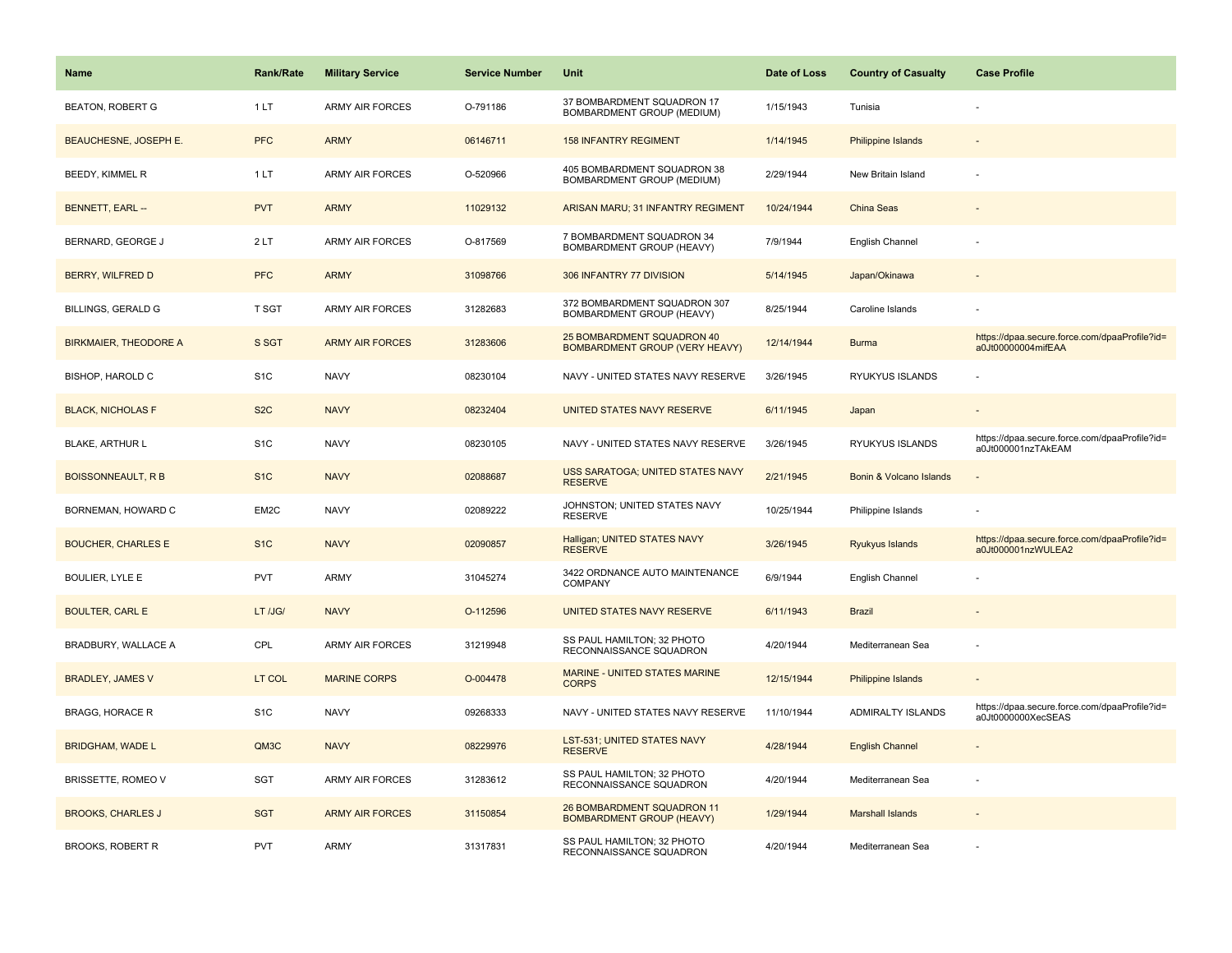| <b>Name</b>                  | <b>Rank/Rate</b> | <b>Military Service</b> | <b>Service Number</b> | Unit                                                           | Date of Loss | <b>Country of Casualty</b> | <b>Case Profile</b>                                                 |
|------------------------------|------------------|-------------------------|-----------------------|----------------------------------------------------------------|--------------|----------------------------|---------------------------------------------------------------------|
| BEATON, ROBERT G             | 1LT              | <b>ARMY AIR FORCES</b>  | O-791186              | 37 BOMBARDMENT SQUADRON 17<br>BOMBARDMENT GROUP (MEDIUM)       | 1/15/1943    | Tunisia                    |                                                                     |
| <b>BEAUCHESNE, JOSEPH E.</b> | <b>PFC</b>       | <b>ARMY</b>             | 06146711              | <b>158 INFANTRY REGIMENT</b>                                   | 1/14/1945    | <b>Philippine Islands</b>  |                                                                     |
| BEEDY, KIMMEL R              | 1LT              | <b>ARMY AIR FORCES</b>  | O-520966              | 405 BOMBARDMENT SQUADRON 38<br>BOMBARDMENT GROUP (MEDIUM)      | 2/29/1944    | New Britain Island         |                                                                     |
| BENNETT, EARL --             | <b>PVT</b>       | <b>ARMY</b>             | 11029132              | ARISAN MARU; 31 INFANTRY REGIMENT                              | 10/24/1944   | <b>China Seas</b>          |                                                                     |
| BERNARD, GEORGE J            | 2LT              | <b>ARMY AIR FORCES</b>  | O-817569              | 7 BOMBARDMENT SQUADRON 34<br>BOMBARDMENT GROUP (HEAVY)         | 7/9/1944     | English Channel            |                                                                     |
| BERRY, WILFRED D             | <b>PFC</b>       | <b>ARMY</b>             | 31098766              | 306 INFANTRY 77 DIVISION                                       | 5/14/1945    | Japan/Okinawa              |                                                                     |
| <b>BILLINGS, GERALD G</b>    | T SGT            | <b>ARMY AIR FORCES</b>  | 31282683              | 372 BOMBARDMENT SQUADRON 307<br>BOMBARDMENT GROUP (HEAVY)      | 8/25/1944    | Caroline Islands           |                                                                     |
| <b>BIRKMAIER, THEODORE A</b> | S SGT            | <b>ARMY AIR FORCES</b>  | 31283606              | 25 BOMBARDMENT SQUADRON 40<br>BOMBARDMENT GROUP (VERY HEAVY)   | 12/14/1944   | <b>Burma</b>               | https://dpaa.secure.force.com/dpaaProfile?id=<br>a0Jt00000004mifEAA |
| BISHOP, HAROLD C             | S <sub>1</sub> C | <b>NAVY</b>             | 08230104              | NAVY - UNITED STATES NAVY RESERVE                              | 3/26/1945    | RYUKYUS ISLANDS            |                                                                     |
| <b>BLACK, NICHOLAS F</b>     | S <sub>2</sub> C | <b>NAVY</b>             | 08232404              | UNITED STATES NAVY RESERVE                                     | 6/11/1945    | Japan                      |                                                                     |
| <b>BLAKE, ARTHUR L</b>       | S <sub>1</sub> C | <b>NAVY</b>             | 08230105              | NAVY - UNITED STATES NAVY RESERVE                              | 3/26/1945    | RYUKYUS ISLANDS            | https://dpaa.secure.force.com/dpaaProfile?id=<br>a0Jt000001nzTAkEAM |
| <b>BOISSONNEAULT, R B</b>    | S <sub>1</sub> C | <b>NAVY</b>             | 02088687              | <b>USS SARATOGA; UNITED STATES NAVY</b><br><b>RESERVE</b>      | 2/21/1945    | Bonin & Volcano Islands    |                                                                     |
| BORNEMAN, HOWARD C           | EM2C             | <b>NAVY</b>             | 02089222              | JOHNSTON; UNITED STATES NAVY<br><b>RESERVE</b>                 | 10/25/1944   | Philippine Islands         |                                                                     |
| <b>BOUCHER, CHARLES E</b>    | S <sub>1C</sub>  | <b>NAVY</b>             | 02090857              | Halligan; UNITED STATES NAVY<br><b>RESERVE</b>                 | 3/26/1945    | Ryukyus Islands            | https://dpaa.secure.force.com/dpaaProfile?id=<br>a0Jt000001nzWULEA2 |
| <b>BOULIER, LYLE E</b>       | PVT              | <b>ARMY</b>             | 31045274              | 3422 ORDNANCE AUTO MAINTENANCE<br><b>COMPANY</b>               | 6/9/1944     | English Channel            |                                                                     |
| <b>BOULTER, CARL E</b>       | LT /JG/          | <b>NAVY</b>             | O-112596              | UNITED STATES NAVY RESERVE                                     | 6/11/1943    | <b>Brazil</b>              |                                                                     |
| BRADBURY, WALLACE A          | CPL              | <b>ARMY AIR FORCES</b>  | 31219948              | SS PAUL HAMILTON; 32 PHOTO<br>RECONNAISSANCE SQUADRON          | 4/20/1944    | Mediterranean Sea          |                                                                     |
| <b>BRADLEY, JAMES V</b>      | LT COL           | <b>MARINE CORPS</b>     | O-004478              | MARINE - UNITED STATES MARINE<br><b>CORPS</b>                  | 12/15/1944   | <b>Philippine Islands</b>  |                                                                     |
| <b>BRAGG, HORACE R</b>       | S <sub>1</sub> C | <b>NAVY</b>             | 09268333              | NAVY - UNITED STATES NAVY RESERVE                              | 11/10/1944   | ADMIRALTY ISLANDS          | https://dpaa.secure.force.com/dpaaProfile?id=<br>a0Jt0000000XecSEAS |
| <b>BRIDGHAM, WADE L</b>      | QM3C             | <b>NAVY</b>             | 08229976              | LST-531; UNITED STATES NAVY<br><b>RESERVE</b>                  | 4/28/1944    | <b>English Channel</b>     |                                                                     |
| BRISSETTE, ROMEO V           | <b>SGT</b>       | <b>ARMY AIR FORCES</b>  | 31283612              | SS PAUL HAMILTON; 32 PHOTO<br>RECONNAISSANCE SQUADRON          | 4/20/1944    | Mediterranean Sea          |                                                                     |
| <b>BROOKS, CHARLES J</b>     | <b>SGT</b>       | <b>ARMY AIR FORCES</b>  | 31150854              | 26 BOMBARDMENT SQUADRON 11<br><b>BOMBARDMENT GROUP (HEAVY)</b> | 1/29/1944    | <b>Marshall Islands</b>    |                                                                     |
| <b>BROOKS, ROBERT R</b>      | PVT              | ARMY                    | 31317831              | SS PAUL HAMILTON; 32 PHOTO<br>RECONNAISSANCE SQUADRON          | 4/20/1944    | Mediterranean Sea          |                                                                     |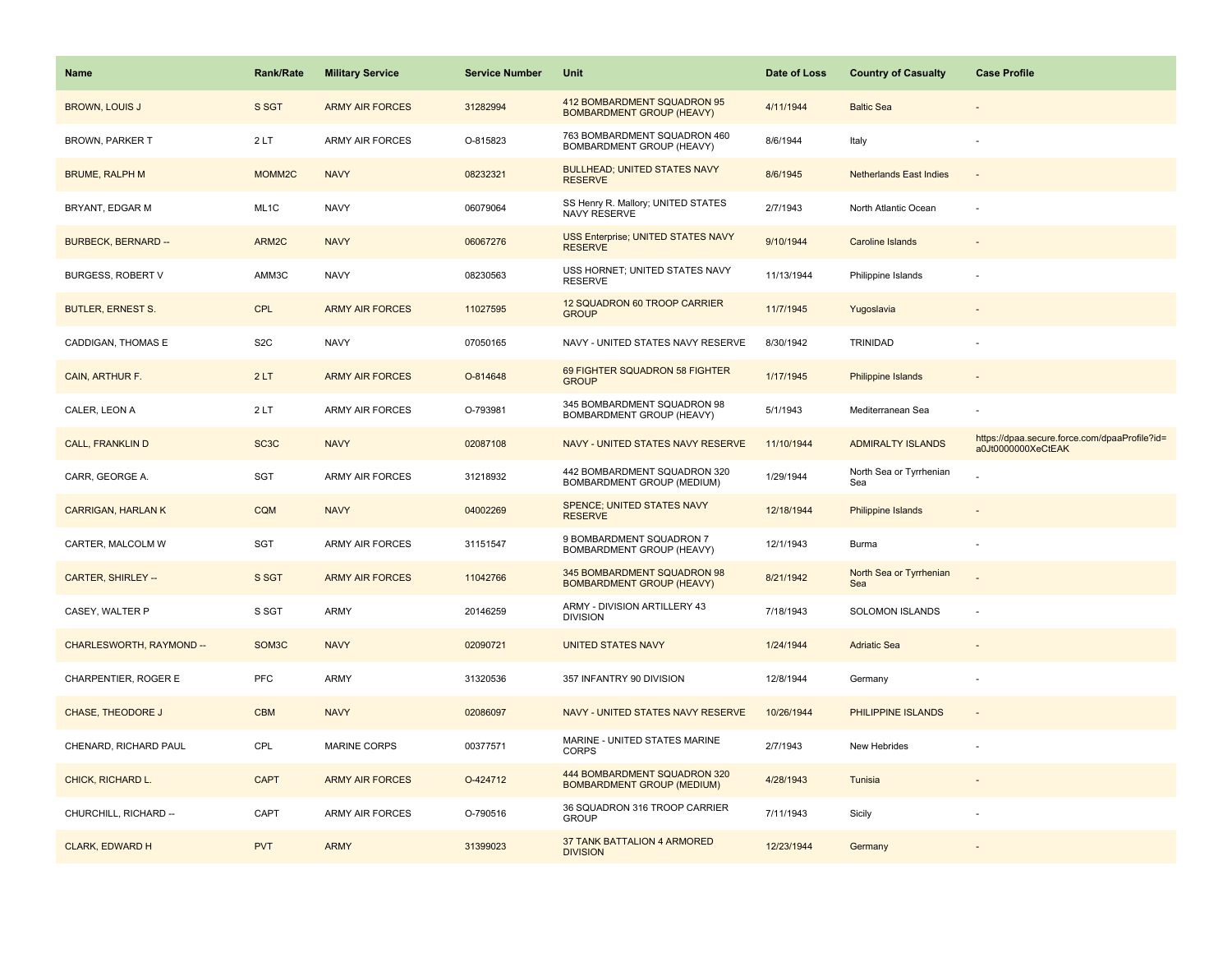| Name                       | <b>Rank/Rate</b>   | <b>Military Service</b> | <b>Service Number</b> | Unit                                                            | Date of Loss | <b>Country of Casualty</b>     | <b>Case Profile</b>                                                 |
|----------------------------|--------------------|-------------------------|-----------------------|-----------------------------------------------------------------|--------------|--------------------------------|---------------------------------------------------------------------|
| <b>BROWN, LOUIS J</b>      | S SGT              | <b>ARMY AIR FORCES</b>  | 31282994              | 412 BOMBARDMENT SQUADRON 95<br><b>BOMBARDMENT GROUP (HEAVY)</b> | 4/11/1944    | <b>Baltic Sea</b>              |                                                                     |
| <b>BROWN, PARKER T</b>     | 2LT                | ARMY AIR FORCES         | O-815823              | 763 BOMBARDMENT SQUADRON 460<br>BOMBARDMENT GROUP (HEAVY)       | 8/6/1944     | Italy                          |                                                                     |
| <b>BRUME, RALPH M</b>      | MOMM <sub>2C</sub> | <b>NAVY</b>             | 08232321              | <b>BULLHEAD; UNITED STATES NAVY</b><br><b>RESERVE</b>           | 8/6/1945     | <b>Netherlands East Indies</b> |                                                                     |
| BRYANT, EDGAR M            | ML1C               | <b>NAVY</b>             | 06079064              | SS Henry R. Mallory; UNITED STATES<br>NAVY RESERVE              | 2/7/1943     | North Atlantic Ocean           |                                                                     |
| <b>BURBECK, BERNARD --</b> | ARM2C              | <b>NAVY</b>             | 06067276              | USS Enterprise; UNITED STATES NAVY<br><b>RESERVE</b>            | 9/10/1944    | Caroline Islands               |                                                                     |
| <b>BURGESS, ROBERT V</b>   | AMM3C              | <b>NAVY</b>             | 08230563              | USS HORNET; UNITED STATES NAVY<br><b>RESERVE</b>                | 11/13/1944   | Philippine Islands             |                                                                     |
| <b>BUTLER, ERNEST S.</b>   | <b>CPL</b>         | <b>ARMY AIR FORCES</b>  | 11027595              | 12 SQUADRON 60 TROOP CARRIER<br><b>GROUP</b>                    | 11/7/1945    | Yugoslavia                     | $\overline{\phantom{a}}$                                            |
| CADDIGAN, THOMAS E         | S <sub>2</sub> C   | <b>NAVY</b>             | 07050165              | NAVY - UNITED STATES NAVY RESERVE                               | 8/30/1942    | <b>TRINIDAD</b>                |                                                                     |
| CAIN, ARTHUR F.            | 2LT                | <b>ARMY AIR FORCES</b>  | O-814648              | 69 FIGHTER SQUADRON 58 FIGHTER<br><b>GROUP</b>                  | 1/17/1945    | Philippine Islands             |                                                                     |
| CALER, LEON A              | 2LT                | <b>ARMY AIR FORCES</b>  | O-793981              | 345 BOMBARDMENT SQUADRON 98<br>BOMBARDMENT GROUP (HEAVY)        | 5/1/1943     | Mediterranean Sea              |                                                                     |
| <b>CALL, FRANKLIN D</b>    | SC <sub>3</sub> C  | <b>NAVY</b>             | 02087108              | NAVY - UNITED STATES NAVY RESERVE                               | 11/10/1944   | <b>ADMIRALTY ISLANDS</b>       | https://dpaa.secure.force.com/dpaaProfile?id=<br>a0Jt0000000XeCtEAK |
| CARR, GEORGE A.            | SGT                | <b>ARMY AIR FORCES</b>  | 31218932              | 442 BOMBARDMENT SQUADRON 320<br>BOMBARDMENT GROUP (MEDIUM)      | 1/29/1944    | North Sea or Tyrrhenian<br>Sea |                                                                     |
| <b>CARRIGAN, HARLAN K</b>  | <b>CQM</b>         | <b>NAVY</b>             | 04002269              | SPENCE; UNITED STATES NAVY<br><b>RESERVE</b>                    | 12/18/1944   | Philippine Islands             |                                                                     |
| CARTER, MALCOLM W          | SGT                | ARMY AIR FORCES         | 31151547              | 9 BOMBARDMENT SQUADRON 7<br>BOMBARDMENT GROUP (HEAVY)           | 12/1/1943    | Burma                          |                                                                     |
| CARTER, SHIRLEY --         | S SGT              | <b>ARMY AIR FORCES</b>  | 11042766              | 345 BOMBARDMENT SQUADRON 98<br><b>BOMBARDMENT GROUP (HEAVY)</b> | 8/21/1942    | North Sea or Tyrrhenian<br>Sea |                                                                     |
| CASEY, WALTER P            | S SGT              | ARMY                    | 20146259              | ARMY - DIVISION ARTILLERY 43<br><b>DIVISION</b>                 | 7/18/1943    | SOLOMON ISLANDS                | ÷,                                                                  |
| CHARLESWORTH, RAYMOND --   | SOM <sub>3</sub> C | <b>NAVY</b>             | 02090721              | <b>UNITED STATES NAVY</b>                                       | 1/24/1944    | <b>Adriatic Sea</b>            |                                                                     |
| CHARPENTIER, ROGER E       | <b>PFC</b>         | ARMY                    | 31320536              | 357 INFANTRY 90 DIVISION                                        | 12/8/1944    | Germany                        | ÷                                                                   |
| <b>CHASE, THEODORE J</b>   | <b>CBM</b>         | <b>NAVY</b>             | 02086097              | NAVY - UNITED STATES NAVY RESERVE                               | 10/26/1944   | PHILIPPINE ISLANDS             | $\overline{\phantom{a}}$                                            |
| CHENARD, RICHARD PAUL      | CPL                | <b>MARINE CORPS</b>     | 00377571              | MARINE - UNITED STATES MARINE<br><b>CORPS</b>                   | 2/7/1943     | New Hebrides                   |                                                                     |
| CHICK, RICHARD L.          | <b>CAPT</b>        | <b>ARMY AIR FORCES</b>  | O-424712              | 444 BOMBARDMENT SQUADRON 320<br>BOMBARDMENT GROUP (MEDIUM)      | 4/28/1943    | Tunisia                        |                                                                     |
| CHURCHILL, RICHARD --      | CAPT               | <b>ARMY AIR FORCES</b>  | O-790516              | 36 SQUADRON 316 TROOP CARRIER<br><b>GROUP</b>                   | 7/11/1943    | Sicily                         |                                                                     |
| <b>CLARK, EDWARD H</b>     | <b>PVT</b>         | <b>ARMY</b>             | 31399023              | 37 TANK BATTALION 4 ARMORED<br><b>DIVISION</b>                  | 12/23/1944   | Germany                        |                                                                     |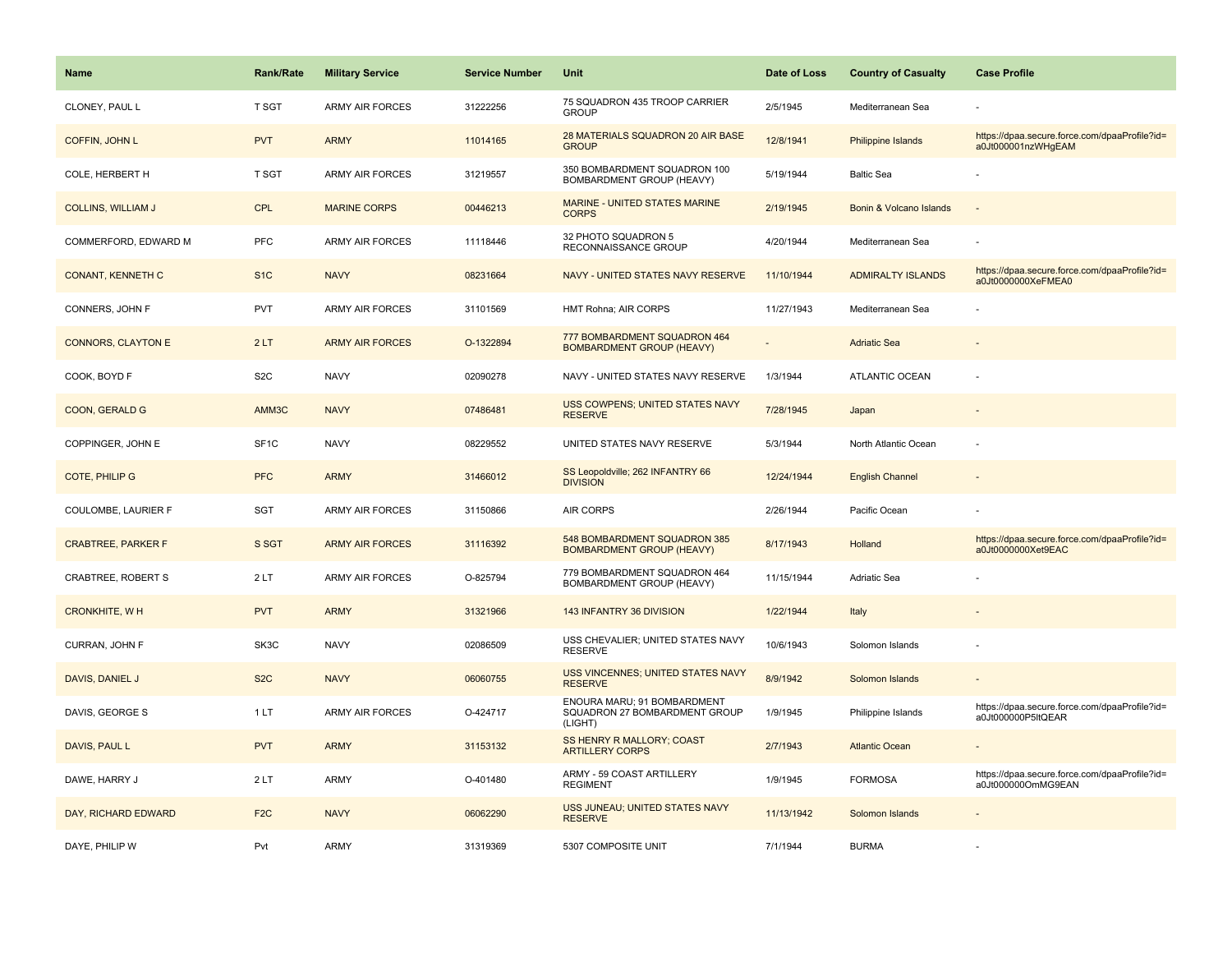| <b>Name</b>               | <b>Rank/Rate</b> | <b>Military Service</b> | <b>Service Number</b> | Unit                                                                    | Date of Loss | <b>Country of Casualty</b> | <b>Case Profile</b>                                                 |
|---------------------------|------------------|-------------------------|-----------------------|-------------------------------------------------------------------------|--------------|----------------------------|---------------------------------------------------------------------|
| CLONEY, PAUL L            | T SGT            | <b>ARMY AIR FORCES</b>  | 31222256              | 75 SQUADRON 435 TROOP CARRIER<br><b>GROUP</b>                           | 2/5/1945     | Mediterranean Sea          |                                                                     |
| <b>COFFIN, JOHN L</b>     | <b>PVT</b>       | <b>ARMY</b>             | 11014165              | 28 MATERIALS SQUADRON 20 AIR BASE<br><b>GROUP</b>                       | 12/8/1941    | <b>Philippine Islands</b>  | https://dpaa.secure.force.com/dpaaProfile?id=<br>a0Jt000001nzWHgEAM |
| COLE, HERBERT H           | T SGT            | <b>ARMY AIR FORCES</b>  | 31219557              | 350 BOMBARDMENT SQUADRON 100<br>BOMBARDMENT GROUP (HEAVY)               | 5/19/1944    | <b>Baltic Sea</b>          |                                                                     |
| <b>COLLINS, WILLIAM J</b> | <b>CPL</b>       | <b>MARINE CORPS</b>     | 00446213              | MARINE - UNITED STATES MARINE<br><b>CORPS</b>                           | 2/19/1945    | Bonin & Volcano Islands    |                                                                     |
| COMMERFORD, EDWARD M      | <b>PFC</b>       | <b>ARMY AIR FORCES</b>  | 11118446              | 32 PHOTO SQUADRON 5<br>RECONNAISSANCE GROUP                             | 4/20/1944    | Mediterranean Sea          |                                                                     |
| <b>CONANT, KENNETH C</b>  | S <sub>1</sub> C | <b>NAVY</b>             | 08231664              | NAVY - UNITED STATES NAVY RESERVE                                       | 11/10/1944   | <b>ADMIRALTY ISLANDS</b>   | https://dpaa.secure.force.com/dpaaProfile?id=<br>a0Jt0000000XeFMEA0 |
| CONNERS, JOHN F           | <b>PVT</b>       | <b>ARMY AIR FORCES</b>  | 31101569              | HMT Rohna; AIR CORPS                                                    | 11/27/1943   | Mediterranean Sea          |                                                                     |
| <b>CONNORS, CLAYTON E</b> | 2LT              | <b>ARMY AIR FORCES</b>  | O-1322894             | 777 BOMBARDMENT SQUADRON 464<br><b>BOMBARDMENT GROUP (HEAVY)</b>        |              | <b>Adriatic Sea</b>        |                                                                     |
| COOK, BOYD F              | S <sub>2</sub> C | <b>NAVY</b>             | 02090278              | NAVY - UNITED STATES NAVY RESERVE                                       | 1/3/1944     | <b>ATLANTIC OCEAN</b>      |                                                                     |
| COON, GERALD G            | AMM3C            | <b>NAVY</b>             | 07486481              | USS COWPENS; UNITED STATES NAVY<br><b>RESERVE</b>                       | 7/28/1945    | Japan                      |                                                                     |
| COPPINGER, JOHN E         | SF <sub>1C</sub> | <b>NAVY</b>             | 08229552              | UNITED STATES NAVY RESERVE                                              | 5/3/1944     | North Atlantic Ocean       |                                                                     |
| COTE, PHILIP G            | <b>PFC</b>       | <b>ARMY</b>             | 31466012              | SS Leopoldville; 262 INFANTRY 66<br><b>DIVISION</b>                     | 12/24/1944   | <b>English Channel</b>     |                                                                     |
| COULOMBE, LAURIER F       | <b>SGT</b>       | <b>ARMY AIR FORCES</b>  | 31150866              | <b>AIR CORPS</b>                                                        | 2/26/1944    | Pacific Ocean              |                                                                     |
| <b>CRABTREE, PARKER F</b> | S SGT            | <b>ARMY AIR FORCES</b>  | 31116392              | 548 BOMBARDMENT SQUADRON 385<br><b>BOMBARDMENT GROUP (HEAVY)</b>        | 8/17/1943    | Holland                    | https://dpaa.secure.force.com/dpaaProfile?id=<br>a0Jt0000000Xet9EAC |
| CRABTREE, ROBERT S        | 2LT              | <b>ARMY AIR FORCES</b>  | O-825794              | 779 BOMBARDMENT SQUADRON 464<br>BOMBARDMENT GROUP (HEAVY)               | 11/15/1944   | Adriatic Sea               |                                                                     |
| <b>CRONKHITE, WH</b>      | <b>PVT</b>       | <b>ARMY</b>             | 31321966              | 143 INFANTRY 36 DIVISION                                                | 1/22/1944    | Italy                      |                                                                     |
| CURRAN, JOHN F            | SK3C             | <b>NAVY</b>             | 02086509              | USS CHEVALIER; UNITED STATES NAVY<br><b>RESERVE</b>                     | 10/6/1943    | Solomon Islands            |                                                                     |
| DAVIS, DANIEL J           | S <sub>2</sub> C | <b>NAVY</b>             | 06060755              | USS VINCENNES; UNITED STATES NAVY<br><b>RESERVE</b>                     | 8/9/1942     | Solomon Islands            |                                                                     |
| DAVIS, GEORGE S           | 1LT              | <b>ARMY AIR FORCES</b>  | O-424717              | ENOURA MARU; 91 BOMBARDMENT<br>SQUADRON 27 BOMBARDMENT GROUP<br>(LIGHT) | 1/9/1945     | Philippine Islands         | https://dpaa.secure.force.com/dpaaProfile?id=<br>a0Jt000000P5ltQEAR |
| DAVIS, PAUL L             | <b>PVT</b>       | <b>ARMY</b>             | 31153132              | <b>SS HENRY R MALLORY; COAST</b><br><b>ARTILLERY CORPS</b>              | 2/7/1943     | <b>Atlantic Ocean</b>      |                                                                     |
| DAWE, HARRY J             | 2LT              | ARMY                    | O-401480              | ARMY - 59 COAST ARTILLERY<br><b>REGIMENT</b>                            | 1/9/1945     | <b>FORMOSA</b>             | https://dpaa.secure.force.com/dpaaProfile?id=<br>a0Jt000000OmMG9EAN |
| DAY, RICHARD EDWARD       | F <sub>2</sub> C | <b>NAVY</b>             | 06062290              | USS JUNEAU; UNITED STATES NAVY<br><b>RESERVE</b>                        | 11/13/1942   | Solomon Islands            |                                                                     |
| DAYE, PHILIP W            | Pvt              | <b>ARMY</b>             | 31319369              | 5307 COMPOSITE UNIT                                                     | 7/1/1944     | <b>BURMA</b>               |                                                                     |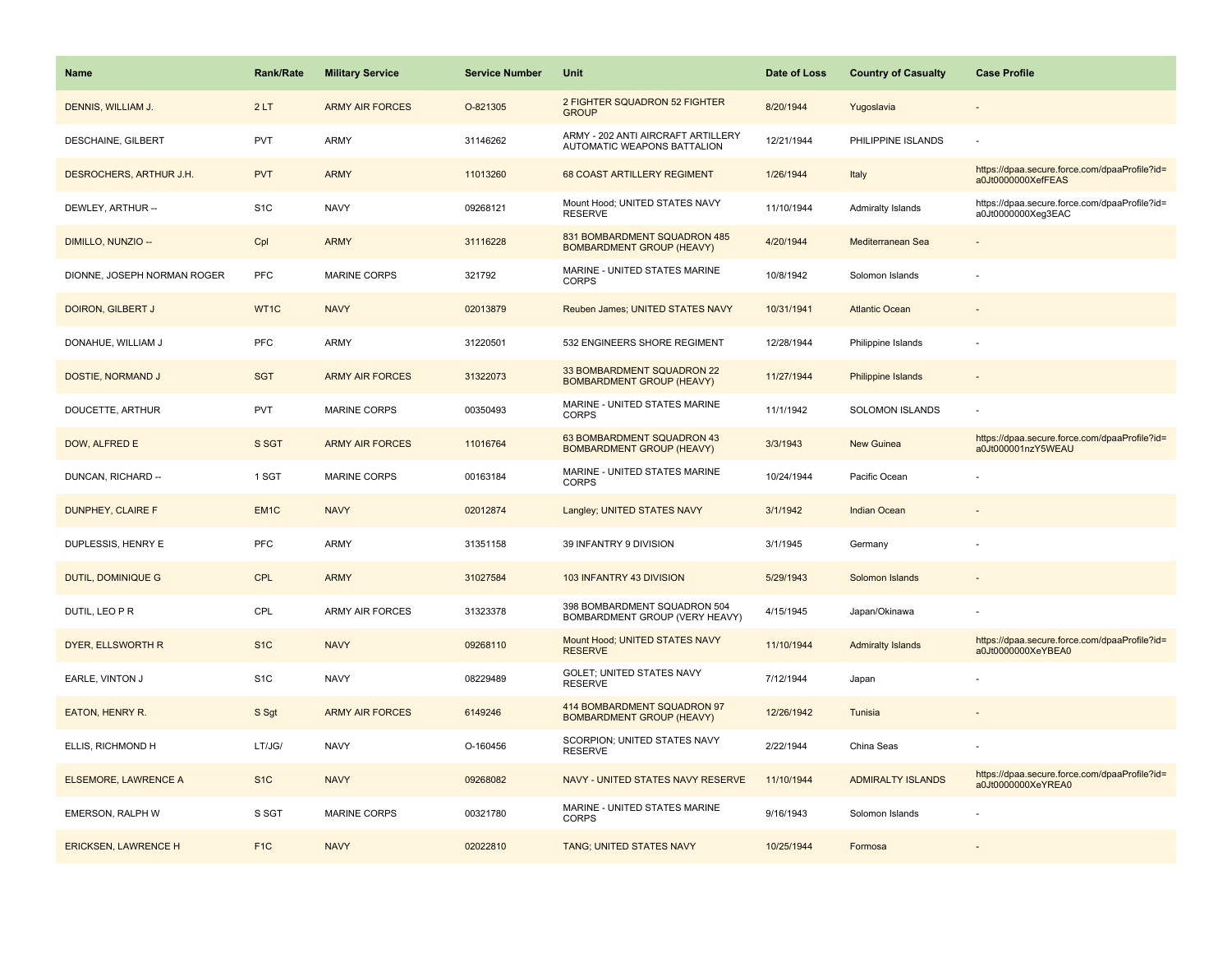| <b>Name</b>                 | <b>Rank/Rate</b> | <b>Military Service</b> | <b>Service Number</b> | Unit                                                                     | Date of Loss | <b>Country of Casualty</b> | <b>Case Profile</b>                                                 |
|-----------------------------|------------------|-------------------------|-----------------------|--------------------------------------------------------------------------|--------------|----------------------------|---------------------------------------------------------------------|
| DENNIS, WILLIAM J.          | 2LT              | <b>ARMY AIR FORCES</b>  | O-821305              | 2 FIGHTER SQUADRON 52 FIGHTER<br><b>GROUP</b>                            | 8/20/1944    | Yugoslavia                 |                                                                     |
| DESCHAINE, GILBERT          | <b>PVT</b>       | ARMY                    | 31146262              | ARMY - 202 ANTI AIRCRAFT ARTILLERY<br><b>AUTOMATIC WEAPONS BATTALION</b> | 12/21/1944   | PHILIPPINE ISLANDS         |                                                                     |
| DESROCHERS, ARTHUR J.H.     | <b>PVT</b>       | <b>ARMY</b>             | 11013260              | 68 COAST ARTILLERY REGIMENT                                              | 1/26/1944    | Italy                      | https://dpaa.secure.force.com/dpaaProfile?id=<br>a0Jt0000000XefFEAS |
| DEWLEY, ARTHUR --           | S <sub>1</sub> C | <b>NAVY</b>             | 09268121              | Mount Hood; UNITED STATES NAVY<br><b>RESERVE</b>                         | 11/10/1944   | Admiralty Islands          | https://dpaa.secure.force.com/dpaaProfile?id=<br>a0Jt0000000Xeg3EAC |
| DIMILLO, NUNZIO --          | Cpl              | <b>ARMY</b>             | 31116228              | 831 BOMBARDMENT SQUADRON 485<br><b>BOMBARDMENT GROUP (HEAVY)</b>         | 4/20/1944    | Mediterranean Sea          |                                                                     |
| DIONNE, JOSEPH NORMAN ROGER | <b>PFC</b>       | <b>MARINE CORPS</b>     | 321792                | MARINE - UNITED STATES MARINE<br><b>CORPS</b>                            | 10/8/1942    | Solomon Islands            |                                                                     |
| DOIRON, GILBERT J           | WT1C             | <b>NAVY</b>             | 02013879              | Reuben James; UNITED STATES NAVY                                         | 10/31/1941   | <b>Atlantic Ocean</b>      |                                                                     |
| DONAHUE, WILLIAM J          | <b>PFC</b>       | ARMY                    | 31220501              | 532 ENGINEERS SHORE REGIMENT                                             | 12/28/1944   | Philippine Islands         |                                                                     |
| DOSTIE, NORMAND J           | <b>SGT</b>       | <b>ARMY AIR FORCES</b>  | 31322073              | 33 BOMBARDMENT SQUADRON 22<br><b>BOMBARDMENT GROUP (HEAVY)</b>           | 11/27/1944   | <b>Philippine Islands</b>  |                                                                     |
| DOUCETTE, ARTHUR            | <b>PVT</b>       | <b>MARINE CORPS</b>     | 00350493              | MARINE - UNITED STATES MARINE<br><b>CORPS</b>                            | 11/1/1942    | <b>SOLOMON ISLANDS</b>     |                                                                     |
| DOW, ALFRED E               | S SGT            | <b>ARMY AIR FORCES</b>  | 11016764              | 63 BOMBARDMENT SQUADRON 43<br><b>BOMBARDMENT GROUP (HEAVY)</b>           | 3/3/1943     | <b>New Guinea</b>          | https://dpaa.secure.force.com/dpaaProfile?id=<br>a0Jt000001nzY5WEAU |
| DUNCAN, RICHARD --          | 1 SGT            | <b>MARINE CORPS</b>     | 00163184              | MARINE - UNITED STATES MARINE<br><b>CORPS</b>                            | 10/24/1944   | Pacific Ocean              |                                                                     |
| DUNPHEY, CLAIRE F           | EM <sub>1C</sub> | <b>NAVY</b>             | 02012874              | Langley; UNITED STATES NAVY                                              | 3/1/1942     | <b>Indian Ocean</b>        |                                                                     |
| DUPLESSIS, HENRY E          | PFC              | <b>ARMY</b>             | 31351158              | 39 INFANTRY 9 DIVISION                                                   | 3/1/1945     | Germany                    |                                                                     |
| <b>DUTIL, DOMINIQUE G</b>   | <b>CPL</b>       | <b>ARMY</b>             | 31027584              | 103 INFANTRY 43 DIVISION                                                 | 5/29/1943    | Solomon Islands            |                                                                     |
| DUTIL, LEO P R              | CPL              | ARMY AIR FORCES         | 31323378              | 398 BOMBARDMENT SQUADRON 504<br>BOMBARDMENT GROUP (VERY HEAVY)           | 4/15/1945    | Japan/Okinawa              |                                                                     |
| DYER, ELLSWORTH R           | S <sub>1</sub> C | <b>NAVY</b>             | 09268110              | Mount Hood; UNITED STATES NAVY<br><b>RESERVE</b>                         | 11/10/1944   | <b>Admiralty Islands</b>   | https://dpaa.secure.force.com/dpaaProfile?id=<br>a0Jt0000000XeYBEA0 |
| EARLE, VINTON J             | S <sub>1</sub> C | <b>NAVY</b>             | 08229489              | GOLET; UNITED STATES NAVY<br><b>RESERVE</b>                              | 7/12/1944    | Japan                      |                                                                     |
| EATON, HENRY R.             | S Sgt            | <b>ARMY AIR FORCES</b>  | 6149246               | 414 BOMBARDMENT SQUADRON 97<br><b>BOMBARDMENT GROUP (HEAVY)</b>          | 12/26/1942   | Tunisia                    |                                                                     |
| ELLIS, RICHMOND H           | LT/JG/           | <b>NAVY</b>             | O-160456              | SCORPION; UNITED STATES NAVY<br><b>RESERVE</b>                           | 2/22/1944    | China Seas                 |                                                                     |
| ELSEMORE, LAWRENCE A        | S <sub>1C</sub>  | <b>NAVY</b>             | 09268082              | NAVY - UNITED STATES NAVY RESERVE                                        | 11/10/1944   | <b>ADMIRALTY ISLANDS</b>   | https://dpaa.secure.force.com/dpaaProfile?id=<br>a0Jt0000000XeYREA0 |
| EMERSON, RALPH W            | S SGT            | <b>MARINE CORPS</b>     | 00321780              | MARINE - UNITED STATES MARINE<br><b>CORPS</b>                            | 9/16/1943    | Solomon Islands            |                                                                     |
| <b>ERICKSEN, LAWRENCE H</b> | F <sub>1C</sub>  | <b>NAVY</b>             | 02022810              | TANG; UNITED STATES NAVY                                                 | 10/25/1944   | Formosa                    |                                                                     |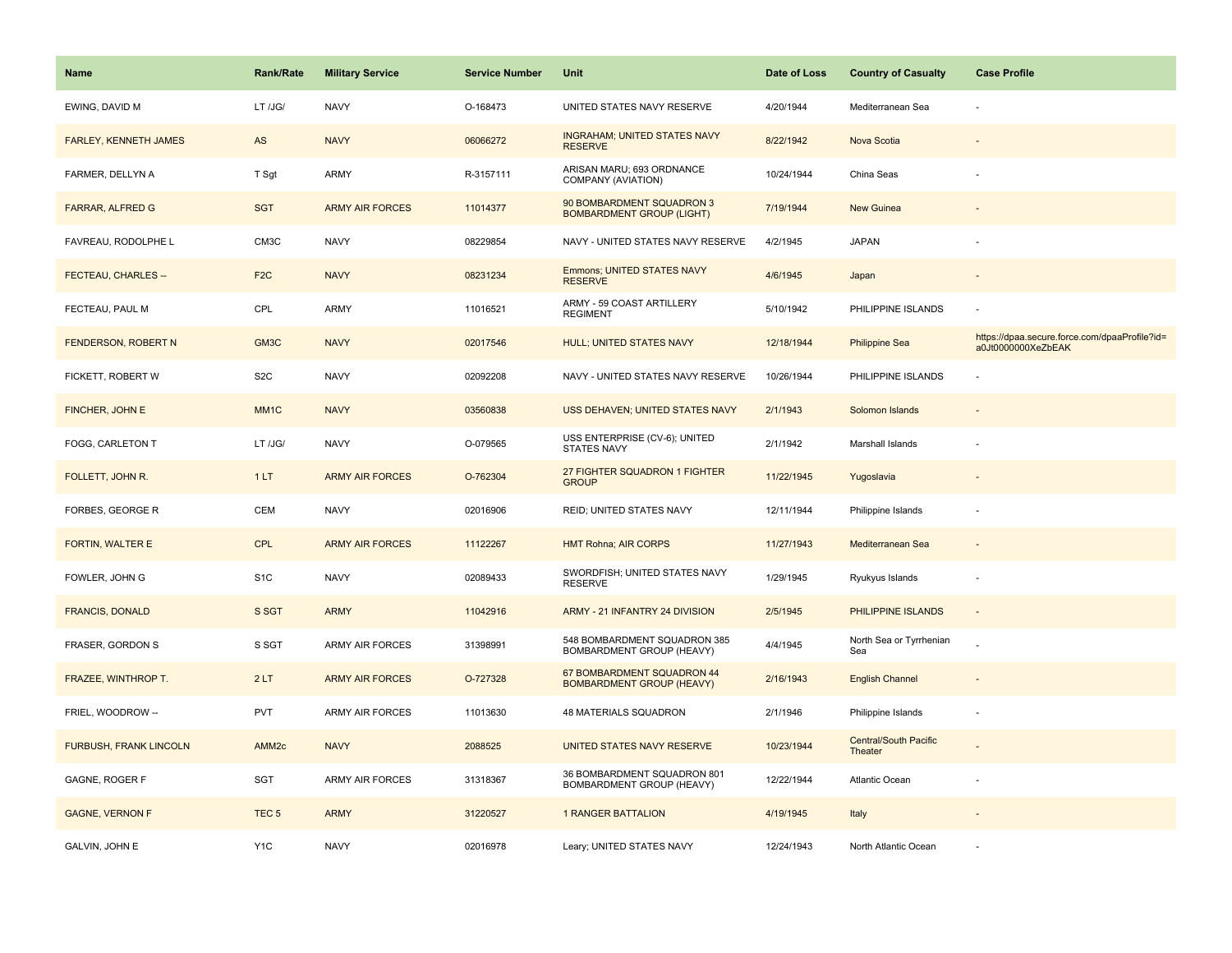| <b>Name</b>                   | <b>Rank/Rate</b>  | <b>Military Service</b> | <b>Service Number</b> | Unit                                                           | Date of Loss | <b>Country of Casualty</b>       | <b>Case Profile</b>                                                 |
|-------------------------------|-------------------|-------------------------|-----------------------|----------------------------------------------------------------|--------------|----------------------------------|---------------------------------------------------------------------|
| EWING, DAVID M                | LT /JG/           | <b>NAVY</b>             | O-168473              | UNITED STATES NAVY RESERVE                                     | 4/20/1944    | Mediterranean Sea                |                                                                     |
| <b>FARLEY, KENNETH JAMES</b>  | AS                | <b>NAVY</b>             | 06066272              | <b>INGRAHAM; UNITED STATES NAVY</b><br><b>RESERVE</b>          | 8/22/1942    | Nova Scotia                      |                                                                     |
| FARMER, DELLYN A              | T Sgt             | ARMY                    | R-3157111             | ARISAN MARU; 693 ORDNANCE<br>COMPANY (AVIATION)                | 10/24/1944   | China Seas                       |                                                                     |
| <b>FARRAR, ALFRED G</b>       | <b>SGT</b>        | <b>ARMY AIR FORCES</b>  | 11014377              | 90 BOMBARDMENT SQUADRON 3<br><b>BOMBARDMENT GROUP (LIGHT)</b>  | 7/19/1944    | New Guinea                       |                                                                     |
| FAVREAU, RODOLPHE L           | CM3C              | <b>NAVY</b>             | 08229854              | NAVY - UNITED STATES NAVY RESERVE                              | 4/2/1945     | <b>JAPAN</b>                     |                                                                     |
| FECTEAU, CHARLES --           | F <sub>2</sub> C  | <b>NAVY</b>             | 08231234              | <b>Emmons; UNITED STATES NAVY</b><br><b>RESERVE</b>            | 4/6/1945     | Japan                            |                                                                     |
| FECTEAU, PAUL M               | CPL               | ARMY                    | 11016521              | ARMY - 59 COAST ARTILLERY<br><b>REGIMENT</b>                   | 5/10/1942    | PHILIPPINE ISLANDS               |                                                                     |
| FENDERSON, ROBERT N           | GM3C              | <b>NAVY</b>             | 02017546              | <b>HULL; UNITED STATES NAVY</b>                                | 12/18/1944   | <b>Philippine Sea</b>            | https://dpaa.secure.force.com/dpaaProfile?id=<br>a0Jt0000000XeZbEAK |
| FICKETT, ROBERT W             | S <sub>2</sub> C  | <b>NAVY</b>             | 02092208              | NAVY - UNITED STATES NAVY RESERVE                              | 10/26/1944   | PHILIPPINE ISLANDS               |                                                                     |
| FINCHER, JOHN E               | MM <sub>1</sub> C | <b>NAVY</b>             | 03560838              | USS DEHAVEN; UNITED STATES NAVY                                | 2/1/1943     | Solomon Islands                  |                                                                     |
| FOGG, CARLETON T              | LT /JG/           | <b>NAVY</b>             | O-079565              | USS ENTERPRISE (CV-6); UNITED<br><b>STATES NAVY</b>            | 2/1/1942     | Marshall Islands                 |                                                                     |
| FOLLETT, JOHN R.              | 1LT               | <b>ARMY AIR FORCES</b>  | O-762304              | 27 FIGHTER SQUADRON 1 FIGHTER<br><b>GROUP</b>                  | 11/22/1945   | Yugoslavia                       |                                                                     |
| FORBES, GEORGE R              | <b>CEM</b>        | <b>NAVY</b>             | 02016906              | <b>REID; UNITED STATES NAVY</b>                                | 12/11/1944   | Philippine Islands               |                                                                     |
| FORTIN, WALTER E              | <b>CPL</b>        | <b>ARMY AIR FORCES</b>  | 11122267              | <b>HMT Rohna; AIR CORPS</b>                                    | 11/27/1943   | Mediterranean Sea                |                                                                     |
| FOWLER, JOHN G                | S <sub>1</sub> C  | <b>NAVY</b>             | 02089433              | SWORDFISH; UNITED STATES NAVY<br><b>RESERVE</b>                | 1/29/1945    | Ryukyus Islands                  |                                                                     |
| <b>FRANCIS, DONALD</b>        | S SGT             | <b>ARMY</b>             | 11042916              | ARMY - 21 INFANTRY 24 DIVISION                                 | 2/5/1945     | PHILIPPINE ISLANDS               |                                                                     |
| FRASER, GORDON S              | S SGT             | ARMY AIR FORCES         | 31398991              | 548 BOMBARDMENT SQUADRON 385<br>BOMBARDMENT GROUP (HEAVY)      | 4/4/1945     | North Sea or Tyrrhenian<br>Sea   |                                                                     |
| FRAZEE, WINTHROP T.           | 2LT               | <b>ARMY AIR FORCES</b>  | O-727328              | 67 BOMBARDMENT SQUADRON 44<br><b>BOMBARDMENT GROUP (HEAVY)</b> | 2/16/1943    | <b>English Channel</b>           |                                                                     |
| FRIEL, WOODROW --             | <b>PVT</b>        | ARMY AIR FORCES         | 11013630              | 48 MATERIALS SQUADRON                                          | 2/1/1946     | Philippine Islands               |                                                                     |
| <b>FURBUSH, FRANK LINCOLN</b> | AMM <sub>2c</sub> | <b>NAVY</b>             | 2088525               | UNITED STATES NAVY RESERVE                                     | 10/23/1944   | Central/South Pacific<br>Theater |                                                                     |
| GAGNE, ROGER F                | SGT               | <b>ARMY AIR FORCES</b>  | 31318367              | 36 BOMBARDMENT SQUADRON 801<br>BOMBARDMENT GROUP (HEAVY)       | 12/22/1944   | Atlantic Ocean                   |                                                                     |
| <b>GAGNE, VERNON F</b>        | TEC <sub>5</sub>  | <b>ARMY</b>             | 31220527              | <b>1 RANGER BATTALION</b>                                      | 4/19/1945    | Italy                            |                                                                     |
| GALVIN, JOHN E                | Y <sub>1</sub> C  | <b>NAVY</b>             | 02016978              | Leary; UNITED STATES NAVY                                      | 12/24/1943   | North Atlantic Ocean             |                                                                     |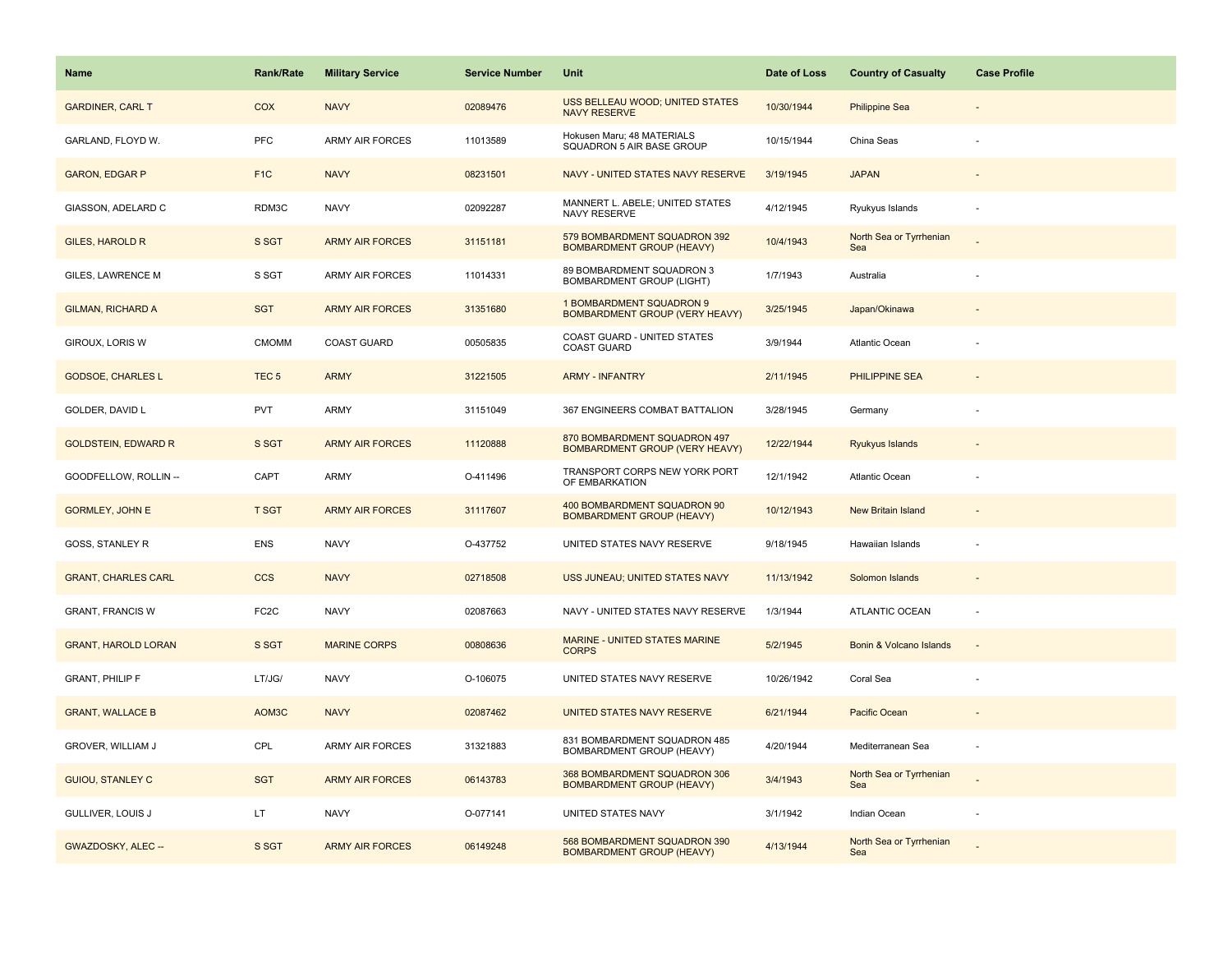| Name                       | <b>Rank/Rate</b>  | <b>Military Service</b> | <b>Service Number</b> | Unit                                                              | Date of Loss | <b>Country of Casualty</b>     | <b>Case Profile</b>      |
|----------------------------|-------------------|-------------------------|-----------------------|-------------------------------------------------------------------|--------------|--------------------------------|--------------------------|
| <b>GARDINER, CARL T</b>    | COX               | <b>NAVY</b>             | 02089476              | USS BELLEAU WOOD; UNITED STATES<br><b>NAVY RESERVE</b>            | 10/30/1944   | <b>Philippine Sea</b>          |                          |
| GARLAND, FLOYD W.          | PFC               | <b>ARMY AIR FORCES</b>  | 11013589              | Hokusen Maru; 48 MATERIALS<br>SQUADRON 5 AIR BASE GROUP           | 10/15/1944   | China Seas                     |                          |
| <b>GARON, EDGAR P</b>      | F <sub>1</sub> C  | <b>NAVY</b>             | 08231501              | NAVY - UNITED STATES NAVY RESERVE                                 | 3/19/1945    | <b>JAPAN</b>                   |                          |
| GIASSON, ADELARD C         | RDM3C             | <b>NAVY</b>             | 02092287              | MANNERT L. ABELE; UNITED STATES<br>NAVY RESERVE                   | 4/12/1945    | Ryukyus Islands                |                          |
| <b>GILES, HAROLD R</b>     | S SGT             | <b>ARMY AIR FORCES</b>  | 31151181              | 579 BOMBARDMENT SQUADRON 392<br><b>BOMBARDMENT GROUP (HEAVY)</b>  | 10/4/1943    | North Sea or Tyrrhenian<br>Sea |                          |
| GILES, LAWRENCE M          | S SGT             | ARMY AIR FORCES         | 11014331              | 89 BOMBARDMENT SQUADRON 3<br><b>BOMBARDMENT GROUP (LIGHT)</b>     | 1/7/1943     | Australia                      |                          |
| <b>GILMAN, RICHARD A</b>   | <b>SGT</b>        | <b>ARMY AIR FORCES</b>  | 31351680              | 1 BOMBARDMENT SQUADRON 9<br><b>BOMBARDMENT GROUP (VERY HEAVY)</b> | 3/25/1945    | Japan/Okinawa                  |                          |
| GIROUX, LORIS W            | <b>CMOMM</b>      | <b>COAST GUARD</b>      | 00505835              | COAST GUARD - UNITED STATES<br><b>COAST GUARD</b>                 | 3/9/1944     | Atlantic Ocean                 |                          |
| <b>GODSOE, CHARLES L</b>   | TEC <sub>5</sub>  | <b>ARMY</b>             | 31221505              | <b>ARMY - INFANTRY</b>                                            | 2/11/1945    | <b>PHILIPPINE SEA</b>          |                          |
| GOLDER, DAVID L            | <b>PVT</b>        | ARMY                    | 31151049              | 367 ENGINEERS COMBAT BATTALION                                    | 3/28/1945    | Germany                        |                          |
| <b>GOLDSTEIN, EDWARD R</b> | S SGT             | <b>ARMY AIR FORCES</b>  | 11120888              | 870 BOMBARDMENT SQUADRON 497<br>BOMBARDMENT GROUP (VERY HEAVY)    | 12/22/1944   | <b>Ryukyus Islands</b>         |                          |
| GOODFELLOW, ROLLIN --      | CAPT              | <b>ARMY</b>             | O-411496              | TRANSPORT CORPS NEW YORK PORT<br>OF EMBARKATION                   | 12/1/1942    | Atlantic Ocean                 |                          |
| <b>GORMLEY, JOHN E</b>     | <b>T SGT</b>      | <b>ARMY AIR FORCES</b>  | 31117607              | 400 BOMBARDMENT SQUADRON 90<br><b>BOMBARDMENT GROUP (HEAVY)</b>   | 10/12/1943   | <b>New Britain Island</b>      |                          |
| GOSS, STANLEY R            | ENS               | <b>NAVY</b>             | O-437752              | UNITED STATES NAVY RESERVE                                        | 9/18/1945    | Hawaiian Islands               |                          |
| <b>GRANT, CHARLES CARL</b> | <b>CCS</b>        | <b>NAVY</b>             | 02718508              | USS JUNEAU; UNITED STATES NAVY                                    | 11/13/1942   | Solomon Islands                | $\sim$                   |
| <b>GRANT, FRANCIS W</b>    | FC <sub>2</sub> C | <b>NAVY</b>             | 02087663              | NAVY - UNITED STATES NAVY RESERVE                                 | 1/3/1944     | <b>ATLANTIC OCEAN</b>          | ÷.                       |
| <b>GRANT, HAROLD LORAN</b> | S SGT             | <b>MARINE CORPS</b>     | 00808636              | MARINE - UNITED STATES MARINE<br><b>CORPS</b>                     | 5/2/1945     | Bonin & Volcano Islands        | $\overline{\phantom{a}}$ |
| <b>GRANT, PHILIP F</b>     | LT/JG/            | <b>NAVY</b>             | O-106075              | UNITED STATES NAVY RESERVE                                        | 10/26/1942   | Coral Sea                      |                          |
| <b>GRANT, WALLACE B</b>    | AOM3C             | <b>NAVY</b>             | 02087462              | UNITED STATES NAVY RESERVE                                        | 6/21/1944    | Pacific Ocean                  |                          |
| GROVER, WILLIAM J          | CPL               | ARMY AIR FORCES         | 31321883              | 831 BOMBARDMENT SQUADRON 485<br>BOMBARDMENT GROUP (HEAVY)         | 4/20/1944    | Mediterranean Sea              |                          |
| <b>GUIOU, STANLEY C</b>    | <b>SGT</b>        | <b>ARMY AIR FORCES</b>  | 06143783              | 368 BOMBARDMENT SQUADRON 306<br><b>BOMBARDMENT GROUP (HEAVY)</b>  | 3/4/1943     | North Sea or Tyrrhenian<br>Sea |                          |
| GULLIVER, LOUIS J          | LT.               | <b>NAVY</b>             | O-077141              | UNITED STATES NAVY                                                | 3/1/1942     | Indian Ocean                   |                          |
| GWAZDOSKY, ALEC --         | S SGT             | <b>ARMY AIR FORCES</b>  | 06149248              | 568 BOMBARDMENT SQUADRON 390<br><b>BOMBARDMENT GROUP (HEAVY)</b>  | 4/13/1944    | North Sea or Tyrrhenian<br>Sea |                          |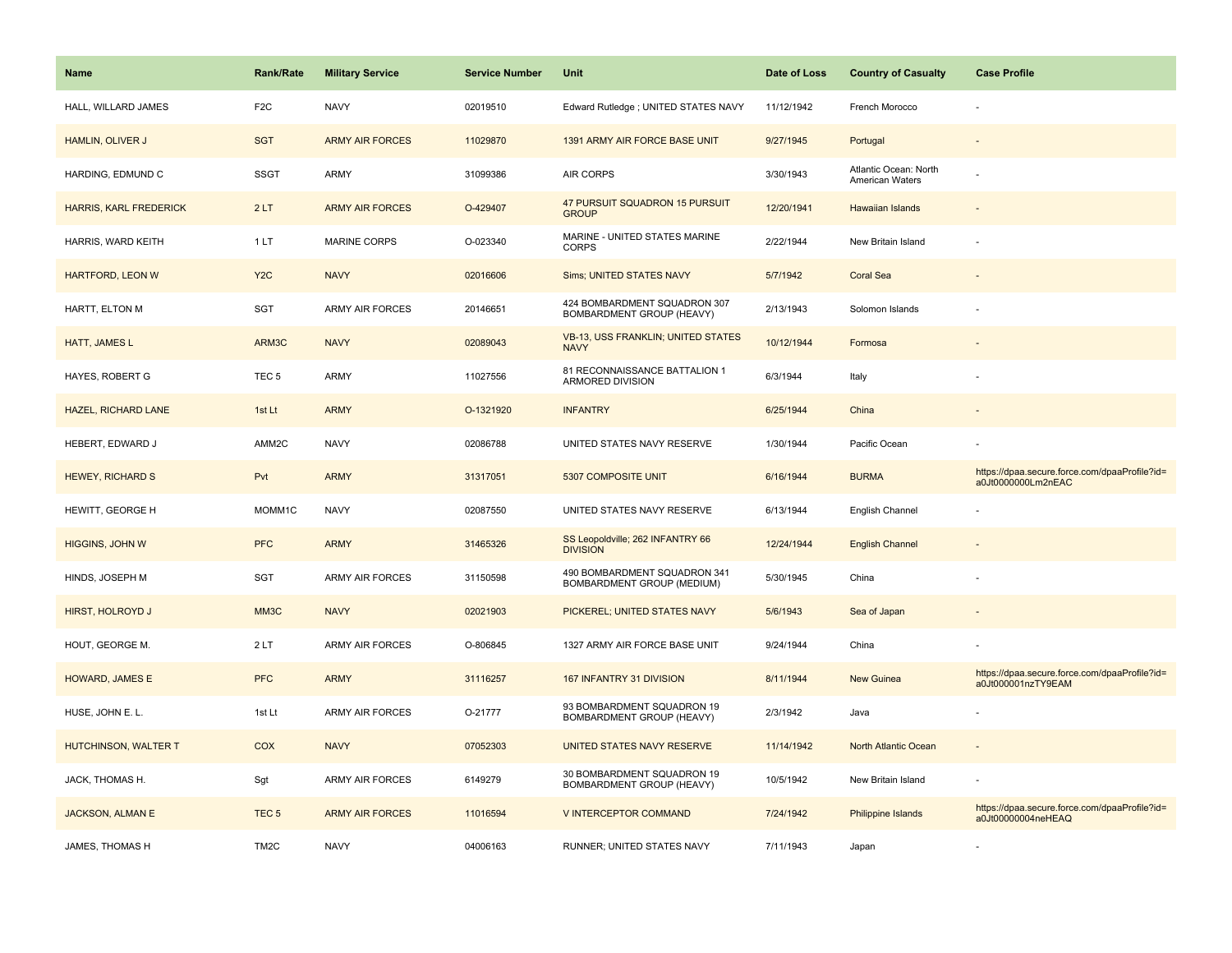| <b>Name</b>                   | <b>Rank/Rate</b>  | <b>Military Service</b> | <b>Service Number</b> | Unit                                                       | Date of Loss | <b>Country of Casualty</b>               | <b>Case Profile</b>                                                 |
|-------------------------------|-------------------|-------------------------|-----------------------|------------------------------------------------------------|--------------|------------------------------------------|---------------------------------------------------------------------|
| HALL, WILLARD JAMES           | F <sub>2</sub> C  | <b>NAVY</b>             | 02019510              | Edward Rutledge ; UNITED STATES NAVY                       | 11/12/1942   | French Morocco                           |                                                                     |
| HAMLIN, OLIVER J              | <b>SGT</b>        | <b>ARMY AIR FORCES</b>  | 11029870              | 1391 ARMY AIR FORCE BASE UNIT                              | 9/27/1945    | Portugal                                 |                                                                     |
| HARDING, EDMUND C             | <b>SSGT</b>       | ARMY                    | 31099386              | <b>AIR CORPS</b>                                           | 3/30/1943    | Atlantic Ocean: North<br>American Waters |                                                                     |
| <b>HARRIS, KARL FREDERICK</b> | 2LT               | <b>ARMY AIR FORCES</b>  | O-429407              | 47 PURSUIT SQUADRON 15 PURSUIT<br><b>GROUP</b>             | 12/20/1941   | Hawaiian Islands                         |                                                                     |
| HARRIS, WARD KEITH            | 1 LT              | <b>MARINE CORPS</b>     | O-023340              | MARINE - UNITED STATES MARINE<br><b>CORPS</b>              | 2/22/1944    | New Britain Island                       |                                                                     |
| <b>HARTFORD, LEON W</b>       | Y <sub>2</sub> C  | <b>NAVY</b>             | 02016606              | Sims; UNITED STATES NAVY                                   | 5/7/1942     | <b>Coral Sea</b>                         |                                                                     |
| HARTT, ELTON M                | SGT               | <b>ARMY AIR FORCES</b>  | 20146651              | 424 BOMBARDMENT SQUADRON 307<br>BOMBARDMENT GROUP (HEAVY)  | 2/13/1943    | Solomon Islands                          |                                                                     |
| HATT, JAMES L                 | ARM3C             | <b>NAVY</b>             | 02089043              | <b>VB-13, USS FRANKLIN; UNITED STATES</b><br><b>NAVY</b>   | 10/12/1944   | Formosa                                  |                                                                     |
| HAYES, ROBERT G               | TEC <sub>5</sub>  | ARMY                    | 11027556              | 81 RECONNAISSANCE BATTALION 1<br>ARMORED DIVISION          | 6/3/1944     | Italy                                    |                                                                     |
| <b>HAZEL, RICHARD LANE</b>    | 1st Lt            | <b>ARMY</b>             | O-1321920             | <b>INFANTRY</b>                                            | 6/25/1944    | China                                    |                                                                     |
| HEBERT, EDWARD J              | AMM2C             | <b>NAVY</b>             | 02086788              | UNITED STATES NAVY RESERVE                                 | 1/30/1944    | Pacific Ocean                            |                                                                     |
| <b>HEWEY, RICHARD S</b>       | Pvt               | <b>ARMY</b>             | 31317051              | 5307 COMPOSITE UNIT                                        | 6/16/1944    | <b>BURMA</b>                             | https://dpaa.secure.force.com/dpaaProfile?id=<br>a0Jt0000000Lm2nEAC |
| HEWITT, GEORGE H              | MOMM1C            | <b>NAVY</b>             | 02087550              | UNITED STATES NAVY RESERVE                                 | 6/13/1944    | English Channel                          |                                                                     |
| <b>HIGGINS, JOHN W</b>        | <b>PFC</b>        | <b>ARMY</b>             | 31465326              | SS Leopoldville; 262 INFANTRY 66<br><b>DIVISION</b>        | 12/24/1944   | <b>English Channel</b>                   |                                                                     |
| HINDS, JOSEPH M               | SGT               | <b>ARMY AIR FORCES</b>  | 31150598              | 490 BOMBARDMENT SQUADRON 341<br>BOMBARDMENT GROUP (MEDIUM) | 5/30/1945    | China                                    |                                                                     |
| HIRST, HOLROYD J              | MM <sub>3</sub> C | <b>NAVY</b>             | 02021903              | PICKEREL; UNITED STATES NAVY                               | 5/6/1943     | Sea of Japan                             |                                                                     |
| HOUT, GEORGE M.               | 2LT               | <b>ARMY AIR FORCES</b>  | O-806845              | 1327 ARMY AIR FORCE BASE UNIT                              | 9/24/1944    | China                                    |                                                                     |
| <b>HOWARD, JAMES E</b>        | <b>PFC</b>        | <b>ARMY</b>             | 31116257              | 167 INFANTRY 31 DIVISION                                   | 8/11/1944    | <b>New Guinea</b>                        | https://dpaa.secure.force.com/dpaaProfile?id=<br>a0Jt000001nzTY9EAM |
| HUSE, JOHN E. L.              | 1st Lt            | ARMY AIR FORCES         | O-21777               | 93 BOMBARDMENT SQUADRON 19<br>BOMBARDMENT GROUP (HEAVY)    | 2/3/1942     | Java                                     |                                                                     |
| HUTCHINSON, WALTER T          | COX               | <b>NAVY</b>             | 07052303              | UNITED STATES NAVY RESERVE                                 | 11/14/1942   | North Atlantic Ocean                     |                                                                     |
| JACK, THOMAS H.               | Sgt               | <b>ARMY AIR FORCES</b>  | 6149279               | 30 BOMBARDMENT SQUADRON 19<br>BOMBARDMENT GROUP (HEAVY)    | 10/5/1942    | New Britain Island                       |                                                                     |
| <b>JACKSON, ALMAN E</b>       | TEC <sub>5</sub>  | <b>ARMY AIR FORCES</b>  | 11016594              | V INTERCEPTOR COMMAND                                      | 7/24/1942    | Philippine Islands                       | https://dpaa.secure.force.com/dpaaProfile?id=<br>a0Jt00000004neHEAQ |
| JAMES, THOMAS H               | TM <sub>2</sub> C | <b>NAVY</b>             | 04006163              | RUNNER; UNITED STATES NAVY                                 | 7/11/1943    | Japan                                    |                                                                     |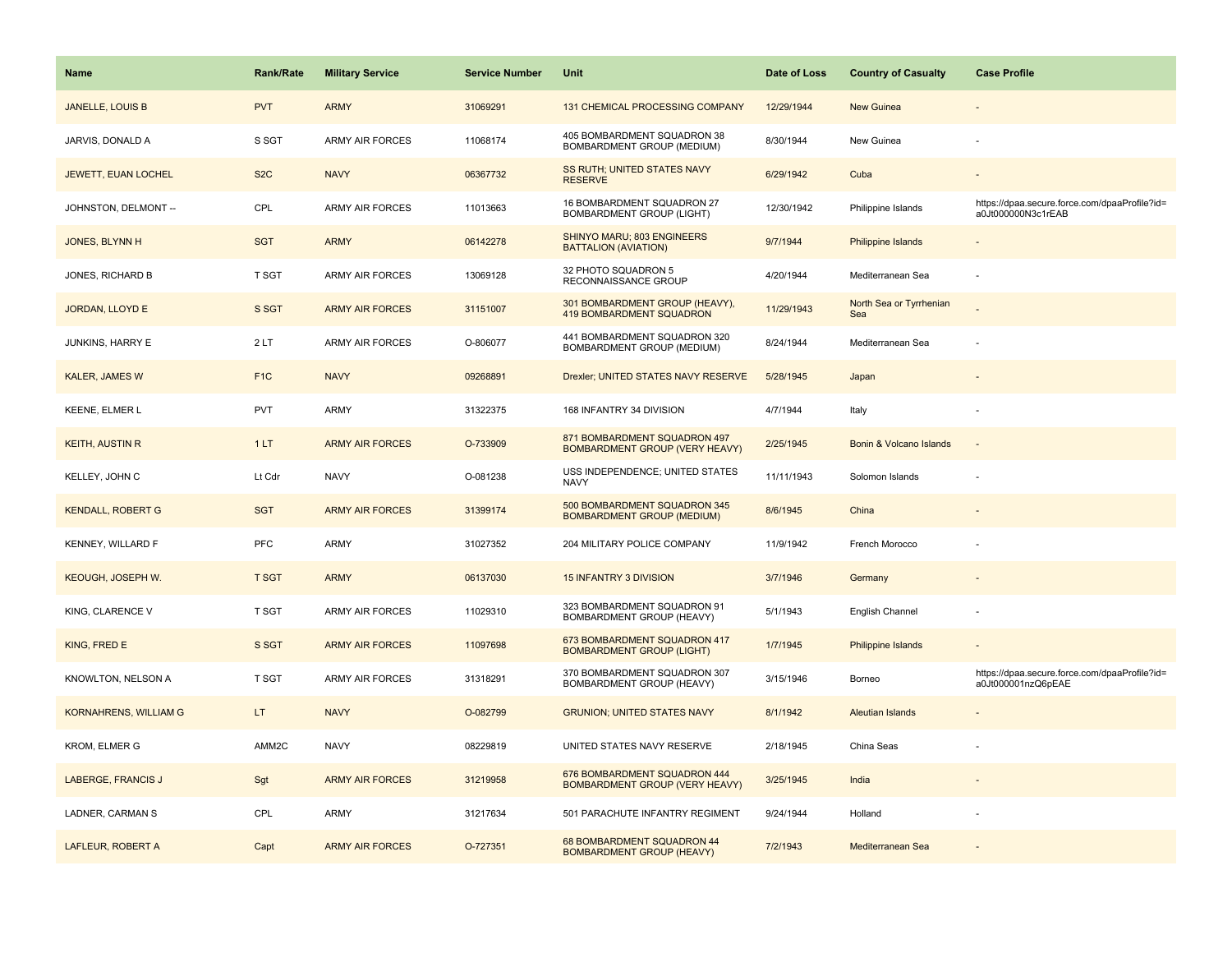| <b>Name</b>                  | Rank/Rate        | <b>Military Service</b> | <b>Service Number</b> | Unit                                                                  | Date of Loss | <b>Country of Casualty</b>     | <b>Case Profile</b>                                                 |
|------------------------------|------------------|-------------------------|-----------------------|-----------------------------------------------------------------------|--------------|--------------------------------|---------------------------------------------------------------------|
| <b>JANELLE, LOUIS B</b>      | <b>PVT</b>       | <b>ARMY</b>             | 31069291              | 131 CHEMICAL PROCESSING COMPANY                                       | 12/29/1944   | <b>New Guinea</b>              |                                                                     |
| JARVIS, DONALD A             | S SGT            | <b>ARMY AIR FORCES</b>  | 11068174              | 405 BOMBARDMENT SQUADRON 38<br>BOMBARDMENT GROUP (MEDIUM)             | 8/30/1944    | New Guinea                     |                                                                     |
| JEWETT, EUAN LOCHEL          | S <sub>2</sub> C | <b>NAVY</b>             | 06367732              | <b>SS RUTH; UNITED STATES NAVY</b><br><b>RESERVE</b>                  | 6/29/1942    | Cuba                           |                                                                     |
| JOHNSTON, DELMONT --         | CPL              | <b>ARMY AIR FORCES</b>  | 11013663              | 16 BOMBARDMENT SQUADRON 27<br><b>BOMBARDMENT GROUP (LIGHT)</b>        | 12/30/1942   | Philippine Islands             | https://dpaa.secure.force.com/dpaaProfile?id=<br>a0Jt000000N3c1rEAB |
| JONES, BLYNN H               | <b>SGT</b>       | <b>ARMY</b>             | 06142278              | SHINYO MARU; 803 ENGINEERS<br><b>BATTALION (AVIATION)</b>             | 9/7/1944     | Philippine Islands             |                                                                     |
| JONES, RICHARD B             | T SGT            | <b>ARMY AIR FORCES</b>  | 13069128              | 32 PHOTO SQUADRON 5<br>RECONNAISSANCE GROUP                           | 4/20/1944    | Mediterranean Sea              |                                                                     |
| JORDAN, LLOYD E              | S SGT            | <b>ARMY AIR FORCES</b>  | 31151007              | 301 BOMBARDMENT GROUP (HEAVY),<br><b>419 BOMBARDMENT SQUADRON</b>     | 11/29/1943   | North Sea or Tyrrhenian<br>Sea |                                                                     |
| JUNKINS, HARRY E             | 2LT              | <b>ARMY AIR FORCES</b>  | O-806077              | 441 BOMBARDMENT SQUADRON 320<br>BOMBARDMENT GROUP (MEDIUM)            | 8/24/1944    | Mediterranean Sea              |                                                                     |
| KALER, JAMES W               | F <sub>1</sub> C | <b>NAVY</b>             | 09268891              | Drexler; UNITED STATES NAVY RESERVE                                   | 5/28/1945    | Japan                          |                                                                     |
| KEENE, ELMER L               | <b>PVT</b>       | ARMY                    | 31322375              | 168 INFANTRY 34 DIVISION                                              | 4/7/1944     | Italy                          |                                                                     |
| <b>KEITH, AUSTIN R</b>       | 1LT              | <b>ARMY AIR FORCES</b>  | O-733909              | 871 BOMBARDMENT SQUADRON 497<br>BOMBARDMENT GROUP (VERY HEAVY)        | 2/25/1945    | Bonin & Volcano Islands        |                                                                     |
| KELLEY, JOHN C               | Lt Cdr           | <b>NAVY</b>             | O-081238              | USS INDEPENDENCE; UNITED STATES<br><b>NAVY</b>                        | 11/11/1943   | Solomon Islands                |                                                                     |
| <b>KENDALL, ROBERT G</b>     | <b>SGT</b>       | <b>ARMY AIR FORCES</b>  | 31399174              | 500 BOMBARDMENT SQUADRON 345<br><b>BOMBARDMENT GROUP (MEDIUM)</b>     | 8/6/1945     | China                          |                                                                     |
| KENNEY, WILLARD F            | PFC              | <b>ARMY</b>             | 31027352              | 204 MILITARY POLICE COMPANY                                           | 11/9/1942    | French Morocco                 |                                                                     |
| KEOUGH, JOSEPH W.            | <b>T SGT</b>     | <b>ARMY</b>             | 06137030              | <b>15 INFANTRY 3 DIVISION</b>                                         | 3/7/1946     | Germany                        |                                                                     |
| KING, CLARENCE V             | <b>T SGT</b>     | ARMY AIR FORCES         | 11029310              | 323 BOMBARDMENT SQUADRON 91<br>BOMBARDMENT GROUP (HEAVY)              | 5/1/1943     | English Channel                |                                                                     |
| KING, FRED E                 | S SGT            | <b>ARMY AIR FORCES</b>  | 11097698              | 673 BOMBARDMENT SQUADRON 417<br><b>BOMBARDMENT GROUP (LIGHT)</b>      | 1/7/1945     | <b>Philippine Islands</b>      |                                                                     |
| KNOWLTON, NELSON A           | <b>T SGT</b>     | ARMY AIR FORCES         | 31318291              | 370 BOMBARDMENT SQUADRON 307<br>BOMBARDMENT GROUP (HEAVY)             | 3/15/1946    | Borneo                         | https://dpaa.secure.force.com/dpaaProfile?id=<br>a0Jt000001nzQ6pEAE |
| <b>KORNAHRENS, WILLIAM G</b> | LT.              | <b>NAVY</b>             | O-082799              | <b>GRUNION; UNITED STATES NAVY</b>                                    | 8/1/1942     | <b>Aleutian Islands</b>        |                                                                     |
| KROM, ELMER G                | AMM2C            | <b>NAVY</b>             | 08229819              | UNITED STATES NAVY RESERVE                                            | 2/18/1945    | China Seas                     |                                                                     |
| <b>LABERGE, FRANCIS J</b>    | Sgt              | <b>ARMY AIR FORCES</b>  | 31219958              | 676 BOMBARDMENT SQUADRON 444<br><b>BOMBARDMENT GROUP (VERY HEAVY)</b> | 3/25/1945    | India                          |                                                                     |
| LADNER, CARMAN S             | CPL              | <b>ARMY</b>             | 31217634              | 501 PARACHUTE INFANTRY REGIMENT                                       | 9/24/1944    | Holland                        |                                                                     |
| LAFLEUR, ROBERT A            | Capt             | <b>ARMY AIR FORCES</b>  | O-727351              | 68 BOMBARDMENT SQUADRON 44<br><b>BOMBARDMENT GROUP (HEAVY)</b>        | 7/2/1943     | Mediterranean Sea              |                                                                     |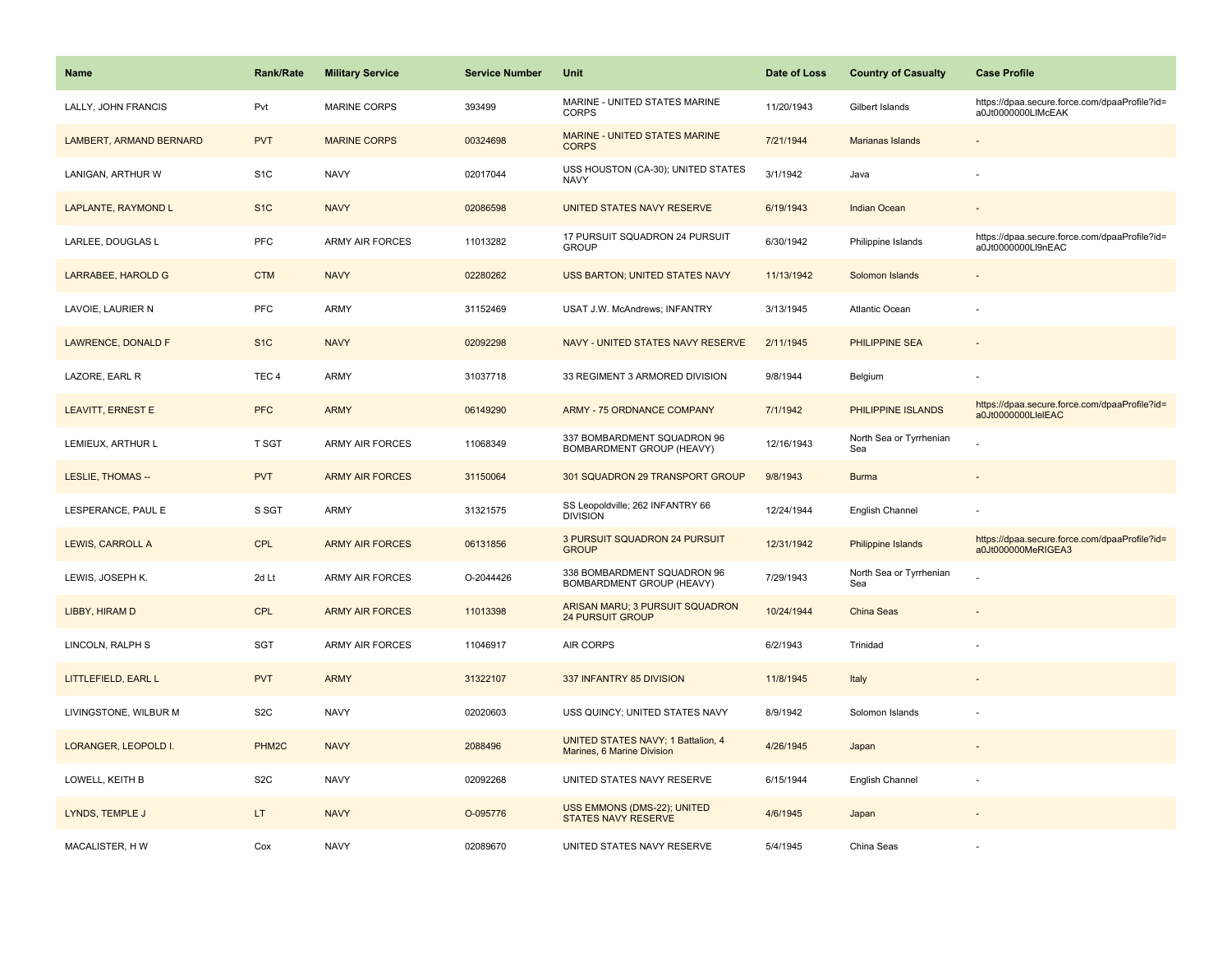| <b>Name</b>               | <b>Rank/Rate</b>   | <b>Military Service</b> | <b>Service Number</b> | Unit                                                             | Date of Loss | <b>Country of Casualty</b>     | <b>Case Profile</b>                                                 |
|---------------------------|--------------------|-------------------------|-----------------------|------------------------------------------------------------------|--------------|--------------------------------|---------------------------------------------------------------------|
| LALLY, JOHN FRANCIS       | Pvt                | <b>MARINE CORPS</b>     | 393499                | MARINE - UNITED STATES MARINE<br><b>CORPS</b>                    | 11/20/1943   | Gilbert Islands                | https://dpaa.secure.force.com/dpaaProfile?id=<br>a0Jt0000000LIMcEAK |
| LAMBERT, ARMAND BERNARD   | <b>PVT</b>         | <b>MARINE CORPS</b>     | 00324698              | MARINE - UNITED STATES MARINE<br><b>CORPS</b>                    | 7/21/1944    | <b>Marianas Islands</b>        |                                                                     |
| LANIGAN, ARTHUR W         | S <sub>1</sub> C   | <b>NAVY</b>             | 02017044              | USS HOUSTON (CA-30); UNITED STATES<br><b>NAVY</b>                | 3/1/1942     | Java                           |                                                                     |
| LAPLANTE, RAYMOND L       | S <sub>1</sub> C   | <b>NAVY</b>             | 02086598              | UNITED STATES NAVY RESERVE                                       | 6/19/1943    | <b>Indian Ocean</b>            |                                                                     |
| LARLEE, DOUGLAS L         | PFC                | <b>ARMY AIR FORCES</b>  | 11013282              | 17 PURSUIT SQUADRON 24 PURSUIT<br><b>GROUP</b>                   | 6/30/1942    | Philippine Islands             | https://dpaa.secure.force.com/dpaaProfile?id=<br>a0Jt0000000Ll9nEAC |
| LARRABEE, HAROLD G        | <b>CTM</b>         | <b>NAVY</b>             | 02280262              | <b>USS BARTON; UNITED STATES NAVY</b>                            | 11/13/1942   | Solomon Islands                |                                                                     |
| LAVOIE, LAURIER N         | PFC                | <b>ARMY</b>             | 31152469              | USAT J.W. McAndrews; INFANTRY                                    | 3/13/1945    | <b>Atlantic Ocean</b>          |                                                                     |
| <b>LAWRENCE, DONALD F</b> | S <sub>1</sub> C   | <b>NAVY</b>             | 02092298              | NAVY - UNITED STATES NAVY RESERVE                                | 2/11/1945    | <b>PHILIPPINE SEA</b>          |                                                                     |
| LAZORE, EARL R            | TEC <sub>4</sub>   | <b>ARMY</b>             | 31037718              | 33 REGIMENT 3 ARMORED DIVISION                                   | 9/8/1944     | Belgium                        |                                                                     |
| <b>LEAVITT, ERNEST E</b>  | <b>PFC</b>         | <b>ARMY</b>             | 06149290              | <b>ARMY - 75 ORDNANCE COMPANY</b>                                | 7/1/1942     | PHILIPPINE ISLANDS             | https://dpaa.secure.force.com/dpaaProfile?id=<br>a0Jt0000000LleIEAC |
| LEMIEUX, ARTHUR L         | <b>T SGT</b>       | <b>ARMY AIR FORCES</b>  | 11068349              | 337 BOMBARDMENT SQUADRON 96<br>BOMBARDMENT GROUP (HEAVY)         | 12/16/1943   | North Sea or Tyrrhenian<br>Sea |                                                                     |
| LESLIE, THOMAS --         | <b>PVT</b>         | <b>ARMY AIR FORCES</b>  | 31150064              | 301 SQUADRON 29 TRANSPORT GROUP                                  | 9/8/1943     | <b>Burma</b>                   |                                                                     |
| LESPERANCE, PAUL E        | S SGT              | <b>ARMY</b>             | 31321575              | SS Leopoldville; 262 INFANTRY 66<br><b>DIVISION</b>              | 12/24/1944   | English Channel                |                                                                     |
| LEWIS, CARROLL A          | <b>CPL</b>         | <b>ARMY AIR FORCES</b>  | 06131856              | 3 PURSUIT SQUADRON 24 PURSUIT<br><b>GROUP</b>                    | 12/31/1942   | <b>Philippine Islands</b>      | https://dpaa.secure.force.com/dpaaProfile?id=<br>a0Jt000000MeRIGEA3 |
| LEWIS, JOSEPH K.          | 2d Lt              | <b>ARMY AIR FORCES</b>  | O-2044426             | 338 BOMBARDMENT SQUADRON 96<br>BOMBARDMENT GROUP (HEAVY)         | 7/29/1943    | North Sea or Tyrrhenian<br>Sea |                                                                     |
| LIBBY, HIRAM D            | <b>CPL</b>         | <b>ARMY AIR FORCES</b>  | 11013398              | ARISAN MARU; 3 PURSUIT SQUADRON<br><b>24 PURSUIT GROUP</b>       | 10/24/1944   | China Seas                     |                                                                     |
| LINCOLN, RALPH S          | <b>SGT</b>         | <b>ARMY AIR FORCES</b>  | 11046917              | AIR CORPS                                                        | 6/2/1943     | Trinidad                       |                                                                     |
| LITTLEFIELD, EARL L       | <b>PVT</b>         | <b>ARMY</b>             | 31322107              | 337 INFANTRY 85 DIVISION                                         | 11/8/1945    | Italy                          |                                                                     |
| LIVINGSTONE, WILBUR M     | S <sub>2</sub> C   | <b>NAVY</b>             | 02020603              | USS QUINCY; UNITED STATES NAVY                                   | 8/9/1942     | Solomon Islands                |                                                                     |
| LORANGER, LEOPOLD I.      | PHM <sub>2</sub> C | <b>NAVY</b>             | 2088496               | UNITED STATES NAVY; 1 Battalion, 4<br>Marines, 6 Marine Division | 4/26/1945    | Japan                          |                                                                     |
| LOWELL, KEITH B           | S <sub>2</sub> C   | <b>NAVY</b>             | 02092268              | UNITED STATES NAVY RESERVE                                       | 6/15/1944    | English Channel                |                                                                     |
| LYNDS, TEMPLE J           | LT                 | <b>NAVY</b>             | O-095776              | USS EMMONS (DMS-22); UNITED<br><b>STATES NAVY RESERVE</b>        | 4/6/1945     | Japan                          |                                                                     |
| MACALISTER, HW            | Cox                | <b>NAVY</b>             | 02089670              | UNITED STATES NAVY RESERVE                                       | 5/4/1945     | China Seas                     |                                                                     |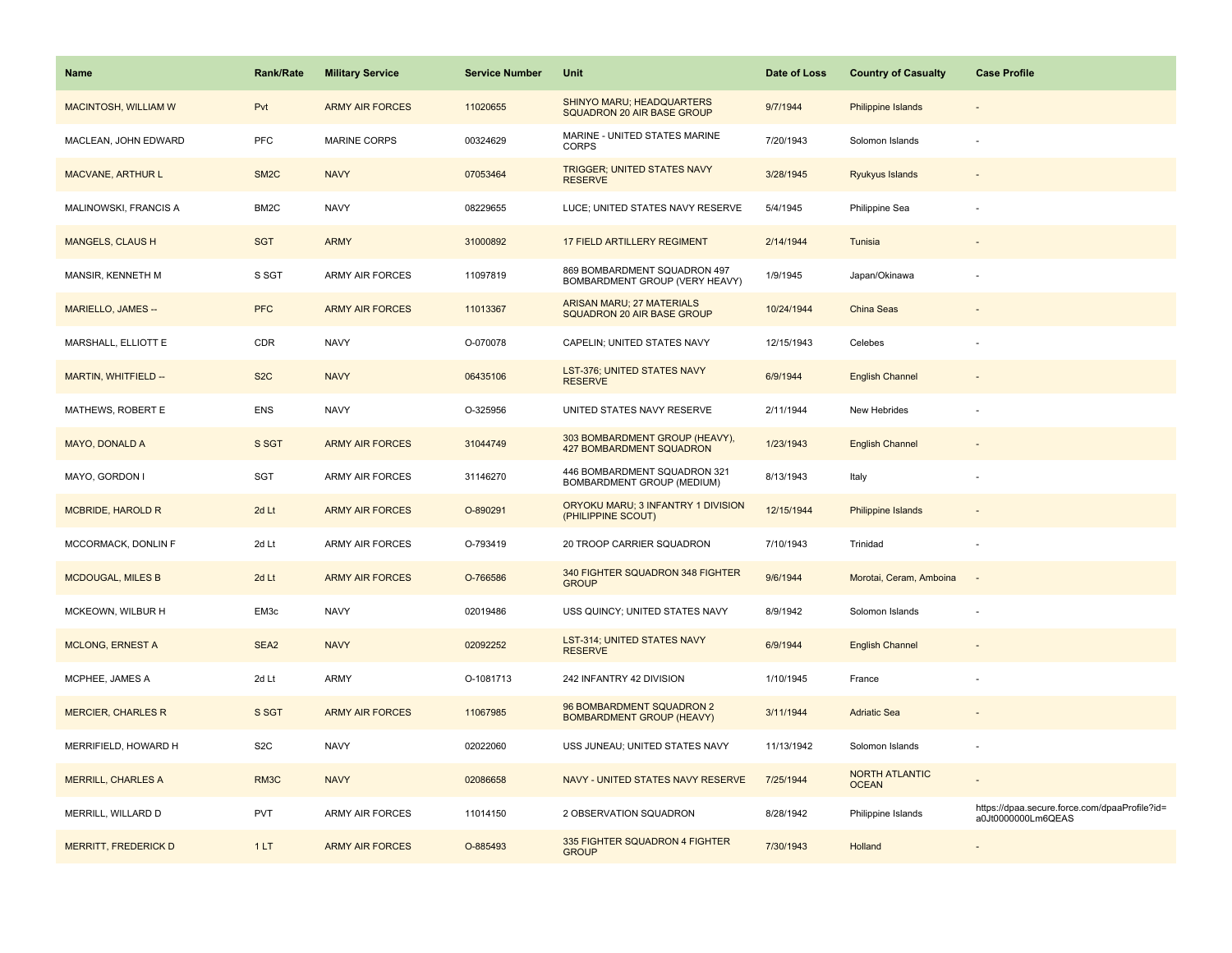| Name                        | <b>Rank/Rate</b>  | <b>Military Service</b> | <b>Service Number</b> | Unit                                                                  | Date of Loss | <b>Country of Casualty</b>            | <b>Case Profile</b>                                                 |
|-----------------------------|-------------------|-------------------------|-----------------------|-----------------------------------------------------------------------|--------------|---------------------------------------|---------------------------------------------------------------------|
| <b>MACINTOSH, WILLIAM W</b> | Pvt               | <b>ARMY AIR FORCES</b>  | 11020655              | SHINYO MARU; HEADQUARTERS<br>SQUADRON 20 AIR BASE GROUP               | 9/7/1944     | Philippine Islands                    |                                                                     |
| MACLEAN, JOHN EDWARD        | PFC               | MARINE CORPS            | 00324629              | MARINE - UNITED STATES MARINE<br><b>CORPS</b>                         | 7/20/1943    | Solomon Islands                       |                                                                     |
| <b>MACVANE, ARTHUR L</b>    | SM <sub>2</sub> C | <b>NAVY</b>             | 07053464              | TRIGGER; UNITED STATES NAVY<br><b>RESERVE</b>                         | 3/28/1945    | <b>Ryukyus Islands</b>                |                                                                     |
| MALINOWSKI, FRANCIS A       | BM2C              | <b>NAVY</b>             | 08229655              | LUCE; UNITED STATES NAVY RESERVE                                      | 5/4/1945     | Philippine Sea                        |                                                                     |
| <b>MANGELS, CLAUS H</b>     | <b>SGT</b>        | <b>ARMY</b>             | 31000892              | <b>17 FIELD ARTILLERY REGIMENT</b>                                    | 2/14/1944    | Tunisia                               |                                                                     |
| MANSIR, KENNETH M           | S SGT             | ARMY AIR FORCES         | 11097819              | 869 BOMBARDMENT SQUADRON 497<br>BOMBARDMENT GROUP (VERY HEAVY)        | 1/9/1945     | Japan/Okinawa                         |                                                                     |
| MARIELLO, JAMES --          | <b>PFC</b>        | <b>ARMY AIR FORCES</b>  | 11013367              | <b>ARISAN MARU; 27 MATERIALS</b><br><b>SQUADRON 20 AIR BASE GROUP</b> | 10/24/1944   | China Seas                            |                                                                     |
| MARSHALL, ELLIOTT E         | CDR               | <b>NAVY</b>             | O-070078              | CAPELIN; UNITED STATES NAVY                                           | 12/15/1943   | Celebes                               |                                                                     |
| MARTIN, WHITFIELD --        | S <sub>2</sub> C  | <b>NAVY</b>             | 06435106              | LST-376; UNITED STATES NAVY<br><b>RESERVE</b>                         | 6/9/1944     | <b>English Channel</b>                |                                                                     |
| MATHEWS, ROBERT E           | <b>ENS</b>        | <b>NAVY</b>             | O-325956              | UNITED STATES NAVY RESERVE                                            | 2/11/1944    | New Hebrides                          |                                                                     |
| <b>MAYO, DONALD A</b>       | S SGT             | <b>ARMY AIR FORCES</b>  | 31044749              | 303 BOMBARDMENT GROUP (HEAVY),<br>427 BOMBARDMENT SQUADRON            | 1/23/1943    | <b>English Channel</b>                |                                                                     |
| MAYO, GORDON I              | <b>SGT</b>        | ARMY AIR FORCES         | 31146270              | 446 BOMBARDMENT SQUADRON 321<br>BOMBARDMENT GROUP (MEDIUM)            | 8/13/1943    | Italy                                 |                                                                     |
| <b>MCBRIDE, HAROLD R</b>    | 2d Lt             | <b>ARMY AIR FORCES</b>  | O-890291              | ORYOKU MARU; 3 INFANTRY 1 DIVISION<br>(PHILIPPINE SCOUT)              | 12/15/1944   | <b>Philippine Islands</b>             |                                                                     |
| MCCORMACK, DONLIN F         | 2d Lt             | ARMY AIR FORCES         | O-793419              | 20 TROOP CARRIER SQUADRON                                             | 7/10/1943    | Trinidad                              |                                                                     |
| <b>MCDOUGAL, MILES B</b>    | 2d Lt             | <b>ARMY AIR FORCES</b>  | O-766586              | 340 FIGHTER SQUADRON 348 FIGHTER<br><b>GROUP</b>                      | 9/6/1944     | Morotai, Ceram, Amboina               | $\sim$                                                              |
| MCKEOWN, WILBUR H           | EM3c              | <b>NAVY</b>             | 02019486              | USS QUINCY; UNITED STATES NAVY                                        | 8/9/1942     | Solomon Islands                       |                                                                     |
| <b>MCLONG, ERNEST A</b>     | SEA <sub>2</sub>  | <b>NAVY</b>             | 02092252              | <b>LST-314; UNITED STATES NAVY</b><br><b>RESERVE</b>                  | 6/9/1944     | <b>English Channel</b>                |                                                                     |
| MCPHEE, JAMES A             | 2d Lt             | ARMY                    | O-1081713             | 242 INFANTRY 42 DIVISION                                              | 1/10/1945    | France                                |                                                                     |
| <b>MERCIER, CHARLES R</b>   | S SGT             | <b>ARMY AIR FORCES</b>  | 11067985              | 96 BOMBARDMENT SQUADRON 2<br><b>BOMBARDMENT GROUP (HEAVY)</b>         | 3/11/1944    | <b>Adriatic Sea</b>                   |                                                                     |
| MERRIFIELD, HOWARD H        | S <sub>2</sub> C  | <b>NAVY</b>             | 02022060              | USS JUNEAU; UNITED STATES NAVY                                        | 11/13/1942   | Solomon Islands                       |                                                                     |
| <b>MERRILL, CHARLES A</b>   | RM3C              | <b>NAVY</b>             | 02086658              | NAVY - UNITED STATES NAVY RESERVE                                     | 7/25/1944    | <b>NORTH ATLANTIC</b><br><b>OCEAN</b> |                                                                     |
| MERRILL, WILLARD D          | <b>PVT</b>        | ARMY AIR FORCES         | 11014150              | 2 OBSERVATION SQUADRON                                                | 8/28/1942    | Philippine Islands                    | https://dpaa.secure.force.com/dpaaProfile?id=<br>a0Jt0000000Lm6QEAS |
| <b>MERRITT, FREDERICK D</b> | 1LT               | <b>ARMY AIR FORCES</b>  | O-885493              | 335 FIGHTER SQUADRON 4 FIGHTER<br><b>GROUP</b>                        | 7/30/1943    | Holland                               |                                                                     |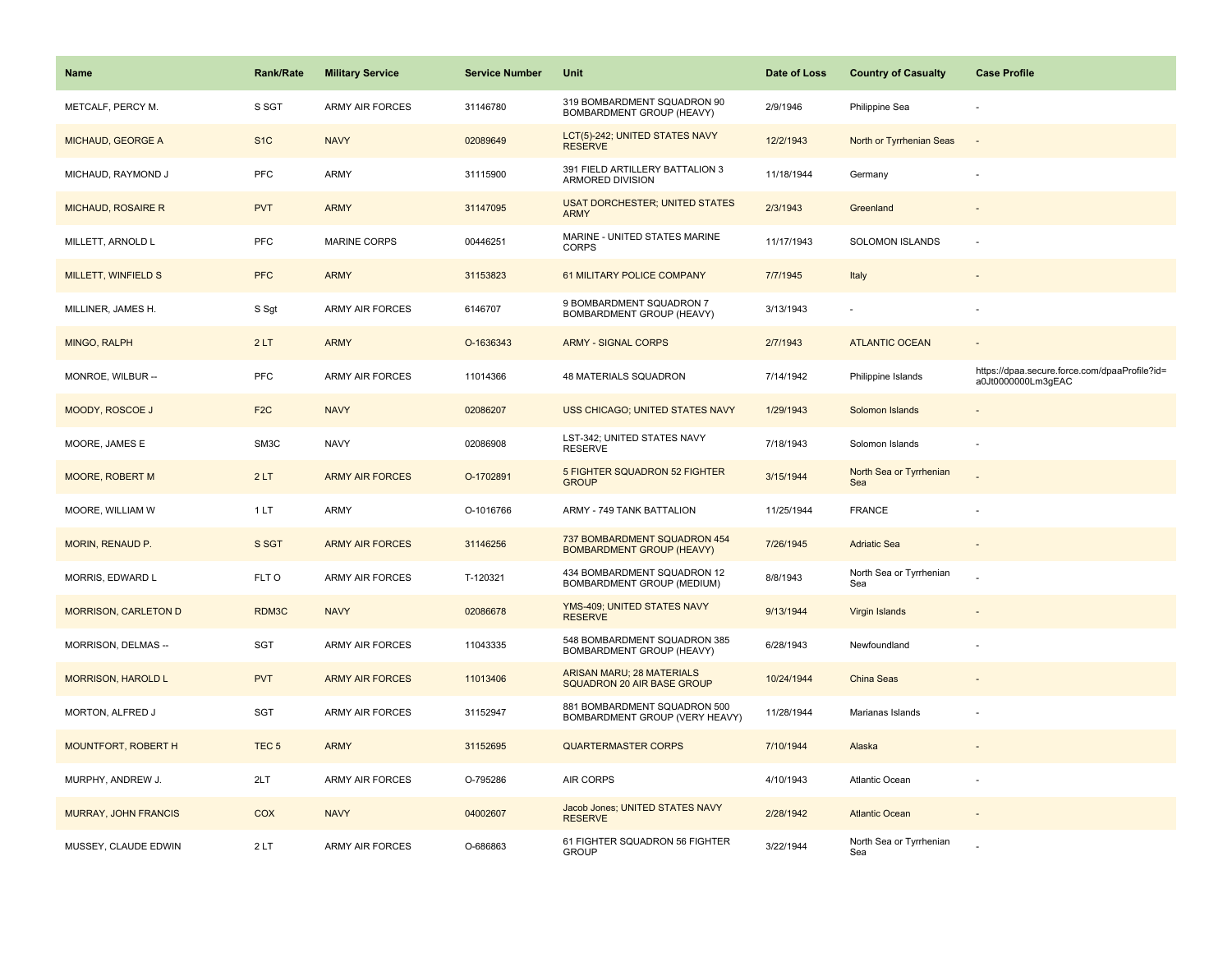| <b>Name</b>                 | Rank/Rate        | <b>Military Service</b> | <b>Service Number</b> | Unit                                                                  | Date of Loss | <b>Country of Casualty</b>     | <b>Case Profile</b>                                                 |
|-----------------------------|------------------|-------------------------|-----------------------|-----------------------------------------------------------------------|--------------|--------------------------------|---------------------------------------------------------------------|
| METCALF, PERCY M.           | S SGT            | <b>ARMY AIR FORCES</b>  | 31146780              | 319 BOMBARDMENT SQUADRON 90<br>BOMBARDMENT GROUP (HEAVY)              | 2/9/1946     | Philippine Sea                 |                                                                     |
| MICHAUD, GEORGE A           | S <sub>1</sub> C | <b>NAVY</b>             | 02089649              | LCT(5)-242; UNITED STATES NAVY<br><b>RESERVE</b>                      | 12/2/1943    | North or Tyrrhenian Seas       | $\sim$                                                              |
| MICHAUD, RAYMOND J          | <b>PFC</b>       | <b>ARMY</b>             | 31115900              | 391 FIELD ARTILLERY BATTALION 3<br>ARMORED DIVISION                   | 11/18/1944   | Germany                        |                                                                     |
| <b>MICHAUD, ROSAIRE R</b>   | <b>PVT</b>       | <b>ARMY</b>             | 31147095              | <b>USAT DORCHESTER; UNITED STATES</b><br><b>ARMY</b>                  | 2/3/1943     | Greenland                      |                                                                     |
| MILLETT, ARNOLD L           | <b>PFC</b>       | <b>MARINE CORPS</b>     | 00446251              | MARINE - UNITED STATES MARINE<br><b>CORPS</b>                         | 11/17/1943   | SOLOMON ISLANDS                |                                                                     |
| MILLETT, WINFIELD S         | <b>PFC</b>       | <b>ARMY</b>             | 31153823              | 61 MILITARY POLICE COMPANY                                            | 7/7/1945     | Italy                          |                                                                     |
| MILLINER, JAMES H.          | S Sgt            | <b>ARMY AIR FORCES</b>  | 6146707               | 9 BOMBARDMENT SQUADRON 7<br>BOMBARDMENT GROUP (HEAVY)                 | 3/13/1943    | $\sim$                         |                                                                     |
| MINGO, RALPH                | 2LT              | <b>ARMY</b>             | O-1636343             | <b>ARMY - SIGNAL CORPS</b>                                            | 2/7/1943     | <b>ATLANTIC OCEAN</b>          | $\overline{a}$                                                      |
| MONROE, WILBUR --           | <b>PFC</b>       | <b>ARMY AIR FORCES</b>  | 11014366              | 48 MATERIALS SQUADRON                                                 | 7/14/1942    | Philippine Islands             | https://dpaa.secure.force.com/dpaaProfile?id=<br>a0Jt0000000Lm3gEAC |
| <b>MOODY, ROSCOE J</b>      | F <sub>2C</sub>  | <b>NAVY</b>             | 02086207              | USS CHICAGO; UNITED STATES NAVY                                       | 1/29/1943    | Solomon Islands                |                                                                     |
| MOORE, JAMES E              | SM3C             | <b>NAVY</b>             | 02086908              | LST-342; UNITED STATES NAVY<br><b>RESERVE</b>                         | 7/18/1943    | Solomon Islands                |                                                                     |
| <b>MOORE, ROBERT M</b>      | 2LT              | <b>ARMY AIR FORCES</b>  | O-1702891             | <b>5 FIGHTER SQUADRON 52 FIGHTER</b><br><b>GROUP</b>                  | 3/15/1944    | North Sea or Tyrrhenian<br>Sea |                                                                     |
| MOORE, WILLIAM W            | 1LT              | <b>ARMY</b>             | O-1016766             | ARMY - 749 TANK BATTALION                                             | 11/25/1944   | <b>FRANCE</b>                  |                                                                     |
| MORIN, RENAUD P.            | S SGT            | <b>ARMY AIR FORCES</b>  | 31146256              | 737 BOMBARDMENT SQUADRON 454<br><b>BOMBARDMENT GROUP (HEAVY)</b>      | 7/26/1945    | <b>Adriatic Sea</b>            | $\sim$                                                              |
| MORRIS, EDWARD L            | FLT O            | <b>ARMY AIR FORCES</b>  | T-120321              | 434 BOMBARDMENT SQUADRON 12<br>BOMBARDMENT GROUP (MEDIUM)             | 8/8/1943     | North Sea or Tyrrhenian<br>Sea |                                                                     |
| <b>MORRISON, CARLETON D</b> | RDM3C            | <b>NAVY</b>             | 02086678              | YMS-409; UNITED STATES NAVY<br><b>RESERVE</b>                         | 9/13/1944    | Virgin Islands                 |                                                                     |
| MORRISON, DELMAS --         | SGT              | <b>ARMY AIR FORCES</b>  | 11043335              | 548 BOMBARDMENT SQUADRON 385<br>BOMBARDMENT GROUP (HEAVY)             | 6/28/1943    | Newfoundland                   |                                                                     |
| <b>MORRISON, HAROLD L</b>   | <b>PVT</b>       | <b>ARMY AIR FORCES</b>  | 11013406              | <b>ARISAN MARU; 28 MATERIALS</b><br><b>SQUADRON 20 AIR BASE GROUP</b> | 10/24/1944   | China Seas                     |                                                                     |
| MORTON, ALFRED J            | SGT              | <b>ARMY AIR FORCES</b>  | 31152947              | 881 BOMBARDMENT SQUADRON 500<br>BOMBARDMENT GROUP (VERY HEAVY)        | 11/28/1944   | Marianas Islands               |                                                                     |
| MOUNTFORT, ROBERT H         | TEC <sub>5</sub> | <b>ARMY</b>             | 31152695              | <b>QUARTERMASTER CORPS</b>                                            | 7/10/1944    | Alaska                         |                                                                     |
| MURPHY, ANDREW J.           | 2LT              | <b>ARMY AIR FORCES</b>  | O-795286              | AIR CORPS                                                             | 4/10/1943    | Atlantic Ocean                 |                                                                     |
| <b>MURRAY, JOHN FRANCIS</b> | <b>COX</b>       | <b>NAVY</b>             | 04002607              | Jacob Jones; UNITED STATES NAVY<br><b>RESERVE</b>                     | 2/28/1942    | <b>Atlantic Ocean</b>          |                                                                     |
| MUSSEY, CLAUDE EDWIN        | 2LT              | <b>ARMY AIR FORCES</b>  | O-686863              | 61 FIGHTER SQUADRON 56 FIGHTER<br><b>GROUP</b>                        | 3/22/1944    | North Sea or Tyrrhenian<br>Sea |                                                                     |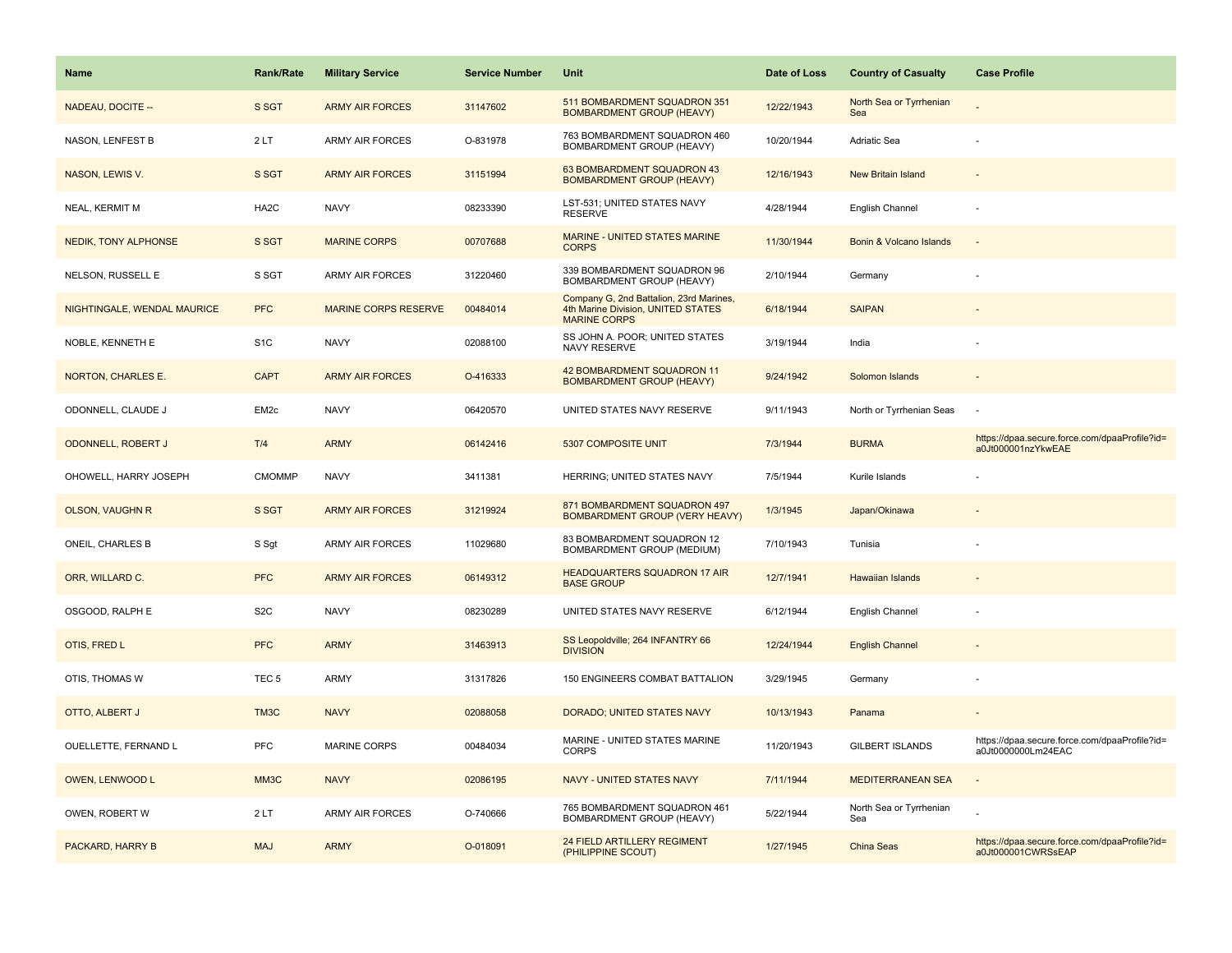| <b>Name</b>                 | <b>Rank/Rate</b>  | <b>Military Service</b>     | <b>Service Number</b> | Unit                                                                                                 | Date of Loss | <b>Country of Casualty</b>     | <b>Case Profile</b>                                                 |
|-----------------------------|-------------------|-----------------------------|-----------------------|------------------------------------------------------------------------------------------------------|--------------|--------------------------------|---------------------------------------------------------------------|
| NADEAU, DOCITE --           | S SGT             | <b>ARMY AIR FORCES</b>      | 31147602              | 511 BOMBARDMENT SQUADRON 351<br><b>BOMBARDMENT GROUP (HEAVY)</b>                                     | 12/22/1943   | North Sea or Tyrrhenian<br>Sea |                                                                     |
| NASON, LENFEST B            | 2LT               | ARMY AIR FORCES             | O-831978              | 763 BOMBARDMENT SQUADRON 460<br>BOMBARDMENT GROUP (HEAVY)                                            | 10/20/1944   | Adriatic Sea                   |                                                                     |
| NASON, LEWIS V.             | S SGT             | <b>ARMY AIR FORCES</b>      | 31151994              | 63 BOMBARDMENT SQUADRON 43<br><b>BOMBARDMENT GROUP (HEAVY)</b>                                       | 12/16/1943   | New Britain Island             |                                                                     |
| NEAL, KERMIT M              | HA <sub>2</sub> C | <b>NAVY</b>                 | 08233390              | LST-531; UNITED STATES NAVY<br><b>RESERVE</b>                                                        | 4/28/1944    | English Channel                |                                                                     |
| NEDIK, TONY ALPHONSE        | S SGT             | <b>MARINE CORPS</b>         | 00707688              | MARINE - UNITED STATES MARINE<br><b>CORPS</b>                                                        | 11/30/1944   | Bonin & Volcano Islands        |                                                                     |
| NELSON, RUSSELL E           | S SGT             | <b>ARMY AIR FORCES</b>      | 31220460              | 339 BOMBARDMENT SQUADRON 96<br>BOMBARDMENT GROUP (HEAVY)                                             | 2/10/1944    | Germany                        |                                                                     |
| NIGHTINGALE, WENDAL MAURICE | <b>PFC</b>        | <b>MARINE CORPS RESERVE</b> | 00484014              | Company G, 2nd Battalion, 23rd Marines,<br>4th Marine Division, UNITED STATES<br><b>MARINE CORPS</b> | 6/18/1944    | <b>SAIPAN</b>                  |                                                                     |
| NOBLE, KENNETH E            | S <sub>1</sub> C  | <b>NAVY</b>                 | 02088100              | SS JOHN A. POOR; UNITED STATES<br>NAVY RESERVE                                                       | 3/19/1944    | India                          |                                                                     |
| NORTON, CHARLES E.          | <b>CAPT</b>       | <b>ARMY AIR FORCES</b>      | O-416333              | 42 BOMBARDMENT SQUADRON 11<br><b>BOMBARDMENT GROUP (HEAVY)</b>                                       | 9/24/1942    | Solomon Islands                |                                                                     |
| ODONNELL, CLAUDE J          | EM <sub>2c</sub>  | <b>NAVY</b>                 | 06420570              | UNITED STATES NAVY RESERVE                                                                           | 9/11/1943    | North or Tyrrhenian Seas       |                                                                     |
| ODONNELL, ROBERT J          | T/4               | <b>ARMY</b>                 | 06142416              | 5307 COMPOSITE UNIT                                                                                  | 7/3/1944     | <b>BURMA</b>                   | https://dpaa.secure.force.com/dpaaProfile?id=<br>a0Jt000001nzYkwEAE |
| OHOWELL, HARRY JOSEPH       | <b>CMOMMP</b>     | <b>NAVY</b>                 | 3411381               | HERRING; UNITED STATES NAVY                                                                          | 7/5/1944     | Kurile Islands                 |                                                                     |
| <b>OLSON, VAUGHN R</b>      | S SGT             | <b>ARMY AIR FORCES</b>      | 31219924              | 871 BOMBARDMENT SQUADRON 497<br><b>BOMBARDMENT GROUP (VERY HEAVY)</b>                                | 1/3/1945     | Japan/Okinawa                  |                                                                     |
| ONEIL, CHARLES B            | S Sgt             | ARMY AIR FORCES             | 11029680              | 83 BOMBARDMENT SQUADRON 12<br>BOMBARDMENT GROUP (MEDIUM)                                             | 7/10/1943    | Tunisia                        |                                                                     |
| ORR, WILLARD C.             | <b>PFC</b>        | <b>ARMY AIR FORCES</b>      | 06149312              | <b>HEADQUARTERS SQUADRON 17 AIR</b><br><b>BASE GROUP</b>                                             | 12/7/1941    | Hawaiian Islands               |                                                                     |
| OSGOOD, RALPH E             | S <sub>2</sub> C  | <b>NAVY</b>                 | 08230289              | UNITED STATES NAVY RESERVE                                                                           | 6/12/1944    | English Channel                |                                                                     |
| OTIS, FRED L                | <b>PFC</b>        | <b>ARMY</b>                 | 31463913              | SS Leopoldville; 264 INFANTRY 66<br><b>DIVISION</b>                                                  | 12/24/1944   | <b>English Channel</b>         |                                                                     |
| OTIS, THOMAS W              | TEC <sub>5</sub>  | ARMY                        | 31317826              | 150 ENGINEERS COMBAT BATTALION                                                                       | 3/29/1945    | Germany                        |                                                                     |
| OTTO, ALBERT J              | TM3C              | <b>NAVY</b>                 | 02088058              | DORADO; UNITED STATES NAVY                                                                           | 10/13/1943   | Panama                         |                                                                     |
| OUELLETTE, FERNAND L        | <b>PFC</b>        | <b>MARINE CORPS</b>         | 00484034              | MARINE - UNITED STATES MARINE<br><b>CORPS</b>                                                        | 11/20/1943   | <b>GILBERT ISLANDS</b>         | https://dpaa.secure.force.com/dpaaProfile?id=<br>a0Jt0000000Lm24EAC |
| OWEN, LENWOOD L             | MM <sub>3</sub> C | <b>NAVY</b>                 | 02086195              | NAVY - UNITED STATES NAVY                                                                            | 7/11/1944    | <b>MEDITERRANEAN SEA</b>       |                                                                     |
| OWEN, ROBERT W              | 2LT               | <b>ARMY AIR FORCES</b>      | O-740666              | 765 BOMBARDMENT SQUADRON 461<br>BOMBARDMENT GROUP (HEAVY)                                            | 5/22/1944    | North Sea or Tyrrhenian<br>Sea |                                                                     |
| PACKARD, HARRY B            | <b>MAJ</b>        | <b>ARMY</b>                 | O-018091              | 24 FIELD ARTILLERY REGIMENT<br>(PHILIPPINE SCOUT)                                                    | 1/27/1945    | China Seas                     | https://dpaa.secure.force.com/dpaaProfile?id=<br>a0Jt000001CWRSsEAP |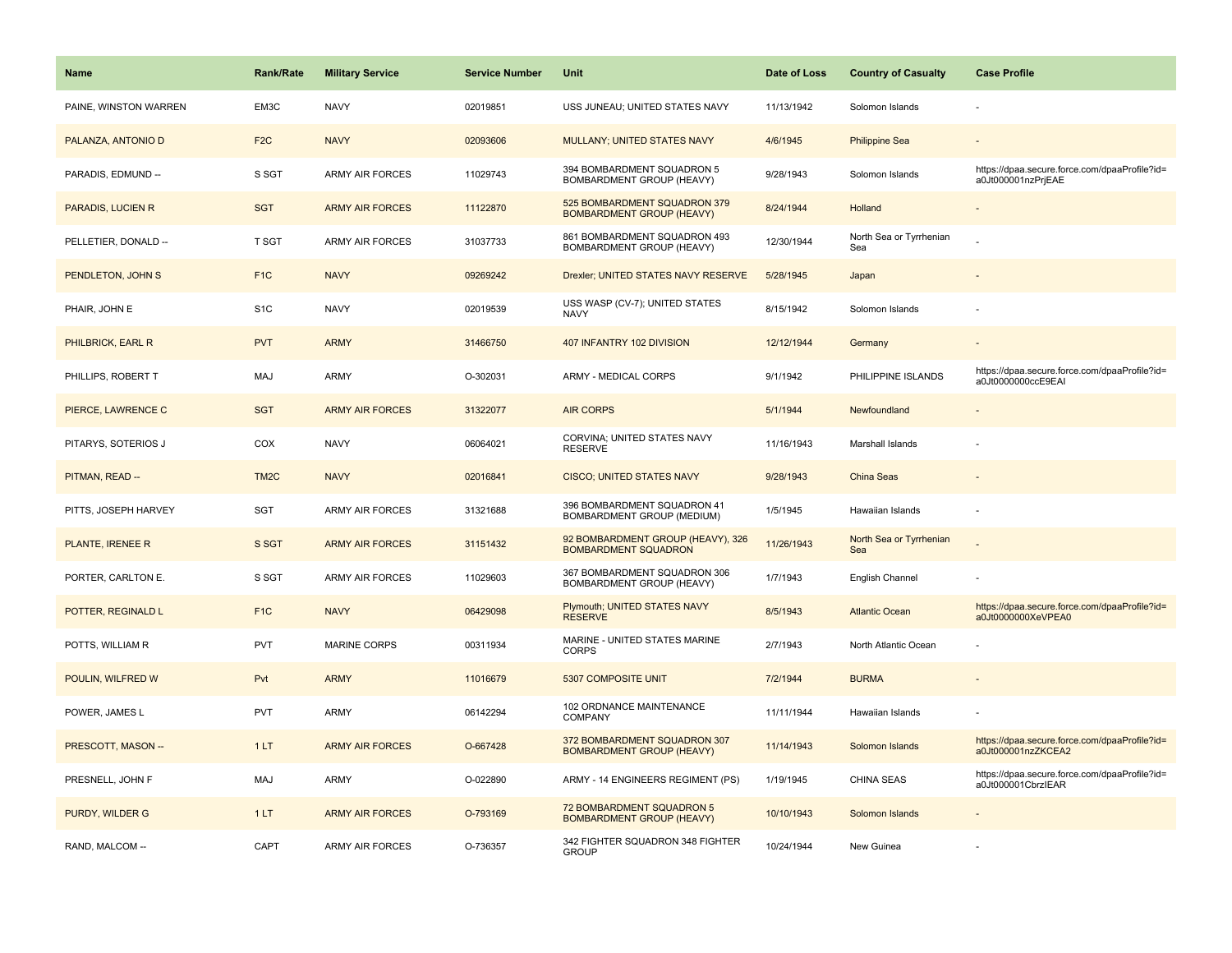| <b>Name</b>           | <b>Rank/Rate</b>  | <b>Military Service</b> | <b>Service Number</b> | Unit                                                             | Date of Loss | <b>Country of Casualty</b>     | <b>Case Profile</b>                                                 |
|-----------------------|-------------------|-------------------------|-----------------------|------------------------------------------------------------------|--------------|--------------------------------|---------------------------------------------------------------------|
| PAINE, WINSTON WARREN | EM3C              | <b>NAVY</b>             | 02019851              | USS JUNEAU; UNITED STATES NAVY                                   | 11/13/1942   | Solomon Islands                |                                                                     |
| PALANZA, ANTONIO D    | F <sub>2</sub> C  | <b>NAVY</b>             | 02093606              | MULLANY; UNITED STATES NAVY                                      | 4/6/1945     | <b>Philippine Sea</b>          |                                                                     |
| PARADIS, EDMUND --    | S SGT             | ARMY AIR FORCES         | 11029743              | 394 BOMBARDMENT SQUADRON 5<br>BOMBARDMENT GROUP (HEAVY)          | 9/28/1943    | Solomon Islands                | https://dpaa.secure.force.com/dpaaProfile?id=<br>a0Jt000001nzPrjEAE |
| PARADIS, LUCIEN R     | <b>SGT</b>        | <b>ARMY AIR FORCES</b>  | 11122870              | 525 BOMBARDMENT SQUADRON 379<br><b>BOMBARDMENT GROUP (HEAVY)</b> | 8/24/1944    | Holland                        |                                                                     |
| PELLETIER, DONALD --  | T SGT             | ARMY AIR FORCES         | 31037733              | 861 BOMBARDMENT SQUADRON 493<br>BOMBARDMENT GROUP (HEAVY)        | 12/30/1944   | North Sea or Tyrrhenian<br>Sea |                                                                     |
| PENDLETON, JOHN S     | F <sub>1</sub> C  | <b>NAVY</b>             | 09269242              | Drexler; UNITED STATES NAVY RESERVE                              | 5/28/1945    | Japan                          |                                                                     |
| PHAIR, JOHN E         | S <sub>1</sub> C  | <b>NAVY</b>             | 02019539              | USS WASP (CV-7); UNITED STATES<br><b>NAVY</b>                    | 8/15/1942    | Solomon Islands                |                                                                     |
| PHILBRICK, EARL R     | <b>PVT</b>        | <b>ARMY</b>             | 31466750              | 407 INFANTRY 102 DIVISION                                        | 12/12/1944   | Germany                        |                                                                     |
| PHILLIPS, ROBERT T    | MAJ               | ARMY                    | O-302031              | ARMY - MEDICAL CORPS                                             | 9/1/1942     | PHILIPPINE ISLANDS             | https://dpaa.secure.force.com/dpaaProfile?id=<br>a0Jt0000000ccE9EAI |
| PIERCE, LAWRENCE C    | <b>SGT</b>        | <b>ARMY AIR FORCES</b>  | 31322077              | <b>AIR CORPS</b>                                                 | 5/1/1944     | Newfoundland                   |                                                                     |
| PITARYS, SOTERIOS J   | COX               | <b>NAVY</b>             | 06064021              | CORVINA; UNITED STATES NAVY<br><b>RESERVE</b>                    | 11/16/1943   | Marshall Islands               |                                                                     |
| PITMAN, READ --       | TM <sub>2</sub> C | <b>NAVY</b>             | 02016841              | <b>CISCO; UNITED STATES NAVY</b>                                 | 9/28/1943    | China Seas                     |                                                                     |
| PITTS, JOSEPH HARVEY  | SGT               | ARMY AIR FORCES         | 31321688              | 396 BOMBARDMENT SQUADRON 41<br>BOMBARDMENT GROUP (MEDIUM)        | 1/5/1945     | Hawaiian Islands               |                                                                     |
| PLANTE, IRENEE R      | S SGT             | <b>ARMY AIR FORCES</b>  | 31151432              | 92 BOMBARDMENT GROUP (HEAVY), 326<br><b>BOMBARDMENT SQUADRON</b> | 11/26/1943   | North Sea or Tyrrhenian<br>Sea |                                                                     |
| PORTER, CARLTON E.    | S SGT             | <b>ARMY AIR FORCES</b>  | 11029603              | 367 BOMBARDMENT SQUADRON 306<br>BOMBARDMENT GROUP (HEAVY)        | 1/7/1943     | English Channel                |                                                                     |
| POTTER, REGINALD L    | F <sub>1</sub> C  | <b>NAVY</b>             | 06429098              | Plymouth; UNITED STATES NAVY<br><b>RESERVE</b>                   | 8/5/1943     | <b>Atlantic Ocean</b>          | https://dpaa.secure.force.com/dpaaProfile?id=<br>a0Jt0000000XeVPEA0 |
| POTTS, WILLIAM R      | <b>PVT</b>        | <b>MARINE CORPS</b>     | 00311934              | MARINE - UNITED STATES MARINE<br><b>CORPS</b>                    | 2/7/1943     | North Atlantic Ocean           |                                                                     |
| POULIN, WILFRED W     | Pvt               | <b>ARMY</b>             | 11016679              | 5307 COMPOSITE UNIT                                              | 7/2/1944     | <b>BURMA</b>                   |                                                                     |
| POWER, JAMES L        | <b>PVT</b>        | <b>ARMY</b>             | 06142294              | 102 ORDNANCE MAINTENANCE<br><b>COMPANY</b>                       | 11/11/1944   | Hawaiian Islands               |                                                                     |
| PRESCOTT, MASON --    | 1LT               | <b>ARMY AIR FORCES</b>  | O-667428              | 372 BOMBARDMENT SQUADRON 307<br><b>BOMBARDMENT GROUP (HEAVY)</b> | 11/14/1943   | Solomon Islands                | https://dpaa.secure.force.com/dpaaProfile?id=<br>a0Jt000001nzZKCEA2 |
| PRESNELL, JOHN F      | MAJ               | ARMY                    | O-022890              | ARMY - 14 ENGINEERS REGIMENT (PS)                                | 1/19/1945    | <b>CHINA SEAS</b>              | https://dpaa.secure.force.com/dpaaProfile?id=<br>a0Jt000001CbrzIEAR |
| PURDY, WILDER G       | 1LT               | <b>ARMY AIR FORCES</b>  | O-793169              | 72 BOMBARDMENT SQUADRON 5<br><b>BOMBARDMENT GROUP (HEAVY)</b>    | 10/10/1943   | Solomon Islands                |                                                                     |
| RAND, MALCOM --       | CAPT              | <b>ARMY AIR FORCES</b>  | O-736357              | 342 FIGHTER SQUADRON 348 FIGHTER<br><b>GROUP</b>                 | 10/24/1944   | New Guinea                     |                                                                     |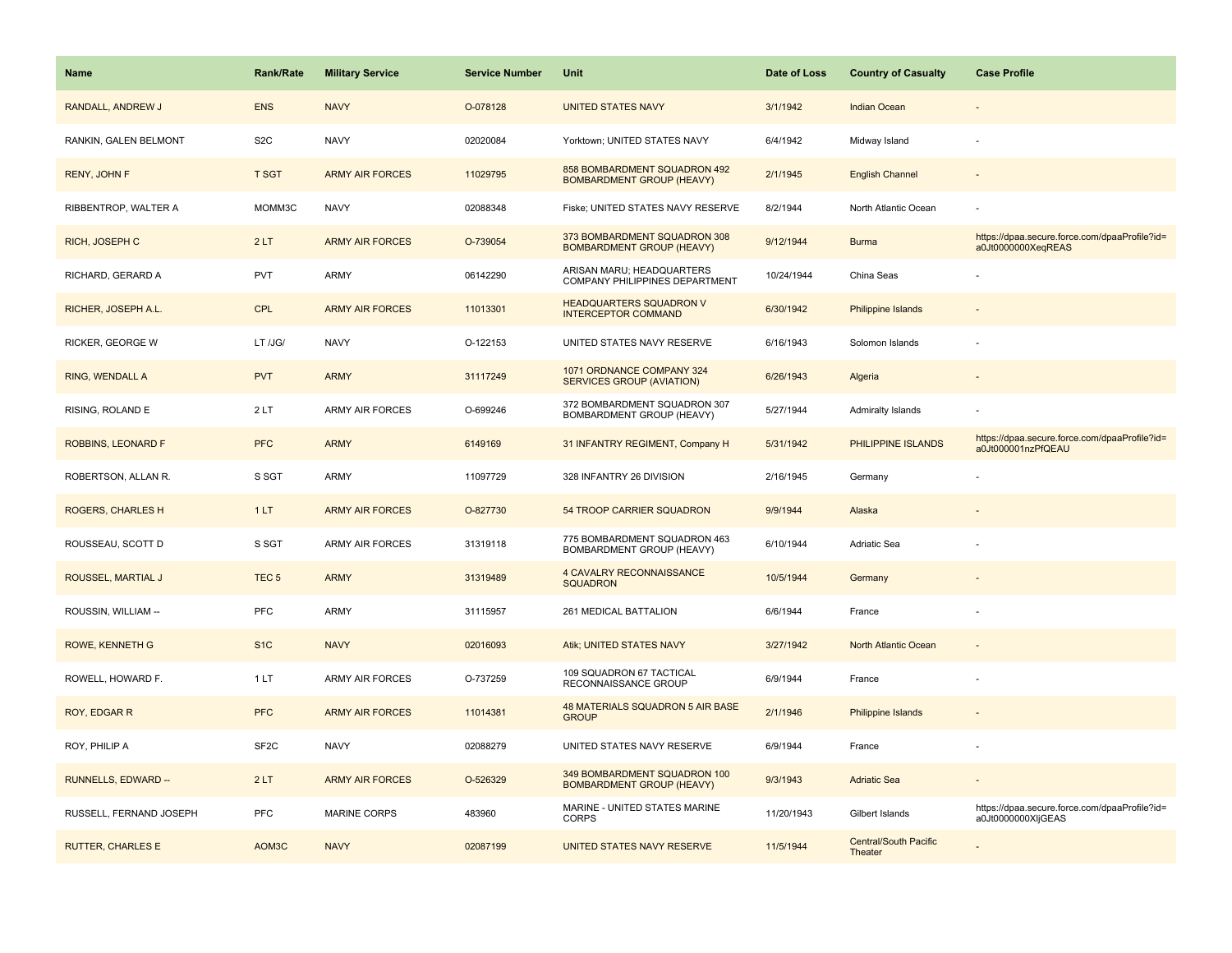| <b>Name</b>              | <b>Rank/Rate</b>  | <b>Military Service</b> | <b>Service Number</b> | Unit                                                             | Date of Loss | <b>Country of Casualty</b>              | <b>Case Profile</b>                                                 |
|--------------------------|-------------------|-------------------------|-----------------------|------------------------------------------------------------------|--------------|-----------------------------------------|---------------------------------------------------------------------|
| RANDALL, ANDREW J        | <b>ENS</b>        | <b>NAVY</b>             | O-078128              | <b>UNITED STATES NAVY</b>                                        | 3/1/1942     | <b>Indian Ocean</b>                     |                                                                     |
| RANKIN, GALEN BELMONT    | S <sub>2</sub> C  | <b>NAVY</b>             | 02020084              | Yorktown; UNITED STATES NAVY                                     | 6/4/1942     | Midway Island                           |                                                                     |
| RENY, JOHN F             | <b>T SGT</b>      | <b>ARMY AIR FORCES</b>  | 11029795              | 858 BOMBARDMENT SQUADRON 492<br><b>BOMBARDMENT GROUP (HEAVY)</b> | 2/1/1945     | <b>English Channel</b>                  |                                                                     |
| RIBBENTROP, WALTER A     | MOMM3C            | <b>NAVY</b>             | 02088348              | Fiske; UNITED STATES NAVY RESERVE                                | 8/2/1944     | North Atlantic Ocean                    |                                                                     |
| RICH, JOSEPH C           | 2LT               | <b>ARMY AIR FORCES</b>  | O-739054              | 373 BOMBARDMENT SQUADRON 308<br><b>BOMBARDMENT GROUP (HEAVY)</b> | 9/12/1944    | <b>Burma</b>                            | https://dpaa.secure.force.com/dpaaProfile?id=<br>a0Jt0000000XeqREAS |
| RICHARD, GERARD A        | <b>PVT</b>        | ARMY                    | 06142290              | ARISAN MARU; HEADQUARTERS<br>COMPANY PHILIPPINES DEPARTMENT      | 10/24/1944   | China Seas                              |                                                                     |
| RICHER, JOSEPH A.L.      | <b>CPL</b>        | <b>ARMY AIR FORCES</b>  | 11013301              | <b>HEADQUARTERS SQUADRON V</b><br><b>INTERCEPTOR COMMAND</b>     | 6/30/1942    | Philippine Islands                      |                                                                     |
| RICKER, GEORGE W         | LT /JG/           | <b>NAVY</b>             | O-122153              | UNITED STATES NAVY RESERVE                                       | 6/16/1943    | Solomon Islands                         |                                                                     |
| <b>RING, WENDALL A</b>   | <b>PVT</b>        | <b>ARMY</b>             | 31117249              | 1071 ORDNANCE COMPANY 324<br><b>SERVICES GROUP (AVIATION)</b>    | 6/26/1943    | Algeria                                 |                                                                     |
| RISING, ROLAND E         | 2LT               | <b>ARMY AIR FORCES</b>  | O-699246              | 372 BOMBARDMENT SQUADRON 307<br>BOMBARDMENT GROUP (HEAVY)        | 5/27/1944    | <b>Admiralty Islands</b>                |                                                                     |
| ROBBINS, LEONARD F       | <b>PFC</b>        | <b>ARMY</b>             | 6149169               | 31 INFANTRY REGIMENT, Company H                                  | 5/31/1942    | PHILIPPINE ISLANDS                      | https://dpaa.secure.force.com/dpaaProfile?id=<br>a0Jt000001nzPfQEAU |
| ROBERTSON, ALLAN R.      | S SGT             | ARMY                    | 11097729              | 328 INFANTRY 26 DIVISION                                         | 2/16/1945    | Germany                                 |                                                                     |
| <b>ROGERS, CHARLES H</b> | 1LT               | <b>ARMY AIR FORCES</b>  | O-827730              | 54 TROOP CARRIER SQUADRON                                        | 9/9/1944     | Alaska                                  |                                                                     |
| ROUSSEAU, SCOTT D        | S SGT             | ARMY AIR FORCES         | 31319118              | 775 BOMBARDMENT SQUADRON 463<br>BOMBARDMENT GROUP (HEAVY)        | 6/10/1944    | Adriatic Sea                            |                                                                     |
| ROUSSEL, MARTIAL J       | TEC <sub>5</sub>  | <b>ARMY</b>             | 31319489              | <b>4 CAVALRY RECONNAISSANCE</b><br><b>SQUADRON</b>               | 10/5/1944    | Germany                                 |                                                                     |
| ROUSSIN, WILLIAM --      | <b>PFC</b>        | ARMY                    | 31115957              | 261 MEDICAL BATTALION                                            | 6/6/1944     | France                                  |                                                                     |
| <b>ROWE, KENNETH G</b>   | S <sub>1</sub> C  | <b>NAVY</b>             | 02016093              | Atik; UNITED STATES NAVY                                         | 3/27/1942    | North Atlantic Ocean                    |                                                                     |
| ROWELL, HOWARD F.        | 1LT               | ARMY AIR FORCES         | O-737259              | 109 SQUADRON 67 TACTICAL<br>RECONNAISSANCE GROUP                 | 6/9/1944     | France                                  |                                                                     |
| ROY, EDGAR R             | <b>PFC</b>        | <b>ARMY AIR FORCES</b>  | 11014381              | 48 MATERIALS SQUADRON 5 AIR BASE<br><b>GROUP</b>                 | 2/1/1946     | <b>Philippine Islands</b>               |                                                                     |
| ROY, PHILIP A            | SF <sub>2</sub> C | <b>NAVY</b>             | 02088279              | UNITED STATES NAVY RESERVE                                       | 6/9/1944     | France                                  |                                                                     |
| RUNNELLS, EDWARD --      | 2LT               | <b>ARMY AIR FORCES</b>  | O-526329              | 349 BOMBARDMENT SQUADRON 100<br><b>BOMBARDMENT GROUP (HEAVY)</b> | 9/3/1943     | <b>Adriatic Sea</b>                     |                                                                     |
| RUSSELL, FERNAND JOSEPH  | <b>PFC</b>        | <b>MARINE CORPS</b>     | 483960                | MARINE - UNITED STATES MARINE<br><b>CORPS</b>                    | 11/20/1943   | Gilbert Islands                         | https://dpaa.secure.force.com/dpaaProfile?id=<br>a0Jt0000000XljGEAS |
| <b>RUTTER, CHARLES E</b> | AOM3C             | <b>NAVY</b>             | 02087199              | UNITED STATES NAVY RESERVE                                       | 11/5/1944    | <b>Central/South Pacific</b><br>Theater |                                                                     |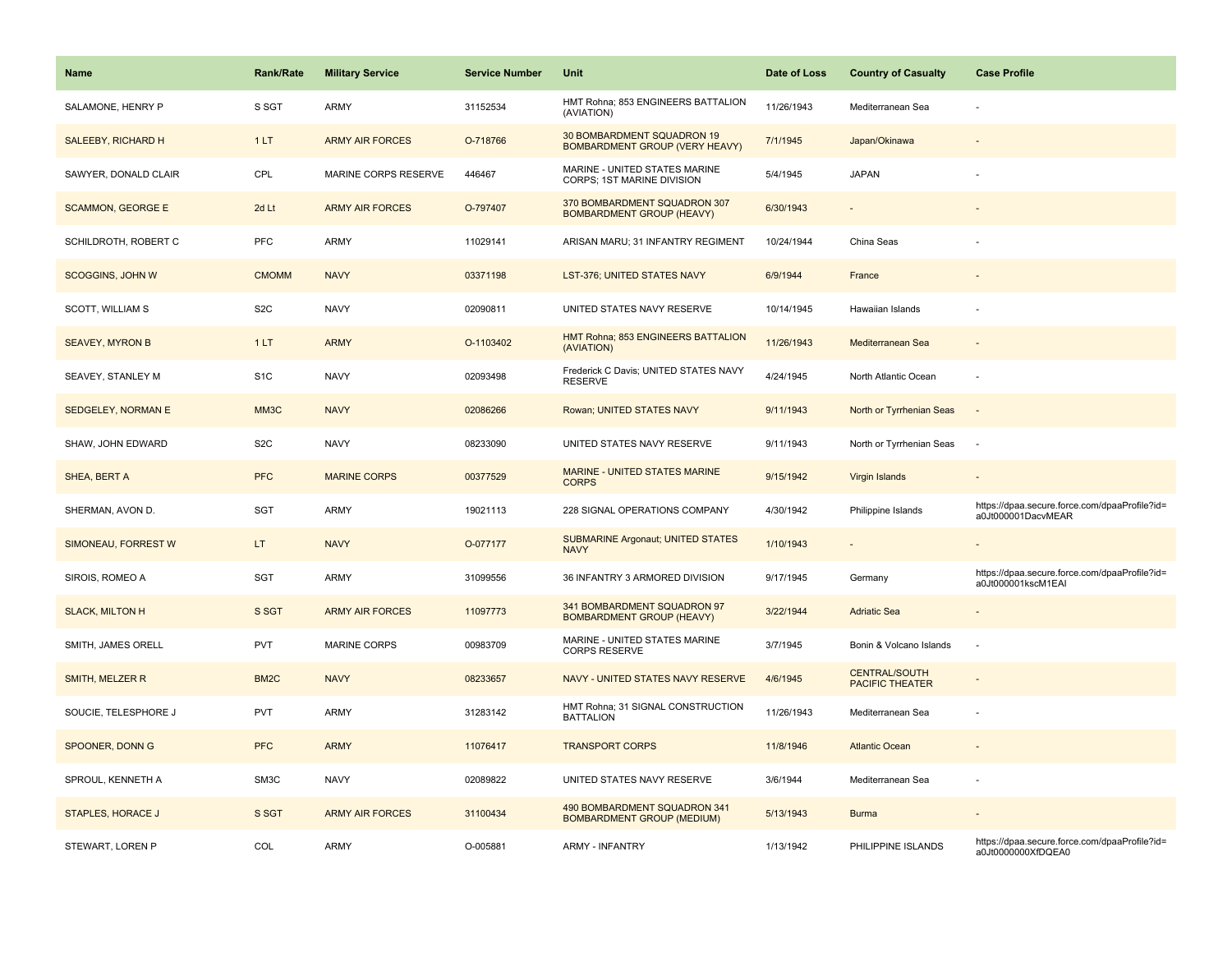| Name                      | Rank/Rate         | <b>Military Service</b> | <b>Service Number</b> | Unit                                                                | Date of Loss | <b>Country of Casualty</b>                     | <b>Case Profile</b>                                                 |
|---------------------------|-------------------|-------------------------|-----------------------|---------------------------------------------------------------------|--------------|------------------------------------------------|---------------------------------------------------------------------|
| SALAMONE, HENRY P         | S SGT             | <b>ARMY</b>             | 31152534              | HMT Rohna; 853 ENGINEERS BATTALION<br>(AVIATION)                    | 11/26/1943   | Mediterranean Sea                              |                                                                     |
| <b>SALEEBY, RICHARD H</b> | 1LT               | <b>ARMY AIR FORCES</b>  | O-718766              | 30 BOMBARDMENT SQUADRON 19<br><b>BOMBARDMENT GROUP (VERY HEAVY)</b> | 7/1/1945     | Japan/Okinawa                                  |                                                                     |
| SAWYER, DONALD CLAIR      | CPL               | MARINE CORPS RESERVE    | 446467                | MARINE - UNITED STATES MARINE<br>CORPS; 1ST MARINE DIVISION         | 5/4/1945     | <b>JAPAN</b>                                   |                                                                     |
| <b>SCAMMON, GEORGE E</b>  | 2d Lt             | <b>ARMY AIR FORCES</b>  | O-797407              | 370 BOMBARDMENT SQUADRON 307<br><b>BOMBARDMENT GROUP (HEAVY)</b>    | 6/30/1943    |                                                |                                                                     |
| SCHILDROTH, ROBERT C      | PFC               | <b>ARMY</b>             | 11029141              | ARISAN MARU; 31 INFANTRY REGIMENT                                   | 10/24/1944   | China Seas                                     |                                                                     |
| <b>SCOGGINS, JOHN W</b>   | <b>CMOMM</b>      | <b>NAVY</b>             | 03371198              | LST-376; UNITED STATES NAVY                                         | 6/9/1944     | France                                         |                                                                     |
| SCOTT, WILLIAM S          | S <sub>2</sub> C  | <b>NAVY</b>             | 02090811              | UNITED STATES NAVY RESERVE                                          | 10/14/1945   | Hawaiian Islands                               |                                                                     |
| <b>SEAVEY, MYRON B</b>    | 1LT               | <b>ARMY</b>             | O-1103402             | HMT Rohna; 853 ENGINEERS BATTALION<br>(AVIATION)                    | 11/26/1943   | Mediterranean Sea                              | $\sim$                                                              |
| SEAVEY, STANLEY M         | S <sub>1</sub> C  | <b>NAVY</b>             | 02093498              | Frederick C Davis; UNITED STATES NAVY<br><b>RESERVE</b>             | 4/24/1945    | North Atlantic Ocean                           | ÷.                                                                  |
| <b>SEDGELEY, NORMAN E</b> | MM3C              | <b>NAVY</b>             | 02086266              | Rowan; UNITED STATES NAVY                                           | 9/11/1943    | North or Tyrrhenian Seas                       | $\sim$                                                              |
| SHAW, JOHN EDWARD         | S <sub>2</sub> C  | <b>NAVY</b>             | 08233090              | UNITED STATES NAVY RESERVE                                          | 9/11/1943    | North or Tyrrhenian Seas                       | $\overline{\phantom{a}}$                                            |
| SHEA, BERT A              | <b>PFC</b>        | <b>MARINE CORPS</b>     | 00377529              | MARINE - UNITED STATES MARINE<br><b>CORPS</b>                       | 9/15/1942    | Virgin Islands                                 |                                                                     |
| SHERMAN, AVON D.          | SGT               | <b>ARMY</b>             | 19021113              | 228 SIGNAL OPERATIONS COMPANY                                       | 4/30/1942    | Philippine Islands                             | https://dpaa.secure.force.com/dpaaProfile?id=<br>a0Jt000001DacvMEAR |
| SIMONEAU, FORREST W       | LT.               | <b>NAVY</b>             | O-077177              | <b>SUBMARINE Argonaut; UNITED STATES</b><br><b>NAVY</b>             | 1/10/1943    | $\blacksquare$                                 |                                                                     |
| SIROIS, ROMEO A           | SGT               | <b>ARMY</b>             | 31099556              | 36 INFANTRY 3 ARMORED DIVISION                                      | 9/17/1945    | Germany                                        | https://dpaa.secure.force.com/dpaaProfile?id=<br>a0Jt000001kscM1EAI |
| <b>SLACK, MILTON H</b>    | S SGT             | <b>ARMY AIR FORCES</b>  | 11097773              | 341 BOMBARDMENT SQUADRON 97<br><b>BOMBARDMENT GROUP (HEAVY)</b>     | 3/22/1944    | <b>Adriatic Sea</b>                            |                                                                     |
| SMITH, JAMES ORELL        | <b>PVT</b>        | MARINE CORPS            | 00983709              | MARINE - UNITED STATES MARINE<br><b>CORPS RESERVE</b>               | 3/7/1945     | Bonin & Volcano Islands                        | $\overline{\phantom{a}}$                                            |
| SMITH, MELZER R           | BM <sub>2</sub> C | <b>NAVY</b>             | 08233657              | NAVY - UNITED STATES NAVY RESERVE                                   | 4/6/1945     | <b>CENTRAL/SOUTH</b><br><b>PACIFIC THEATER</b> |                                                                     |
| SOUCIE, TELESPHORE J      | <b>PVT</b>        | ARMY                    | 31283142              | HMT Rohna; 31 SIGNAL CONSTRUCTION<br><b>BATTALION</b>               | 11/26/1943   | Mediterranean Sea                              |                                                                     |
| SPOONER, DONN G           | <b>PFC</b>        | <b>ARMY</b>             | 11076417              | <b>TRANSPORT CORPS</b>                                              | 11/8/1946    | <b>Atlantic Ocean</b>                          |                                                                     |
| SPROUL, KENNETH A         | SM3C              | <b>NAVY</b>             | 02089822              | UNITED STATES NAVY RESERVE                                          | 3/6/1944     | Mediterranean Sea                              | $\overline{\phantom{a}}$                                            |
| <b>STAPLES, HORACE J</b>  | S SGT             | <b>ARMY AIR FORCES</b>  | 31100434              | 490 BOMBARDMENT SQUADRON 341<br><b>BOMBARDMENT GROUP (MEDIUM)</b>   | 5/13/1943    | <b>Burma</b>                                   |                                                                     |
| STEWART, LOREN P          | COL               | <b>ARMY</b>             | O-005881              | <b>ARMY - INFANTRY</b>                                              | 1/13/1942    | PHILIPPINE ISLANDS                             | https://dpaa.secure.force.com/dpaaProfile?id=<br>a0Jt0000000XfDQEA0 |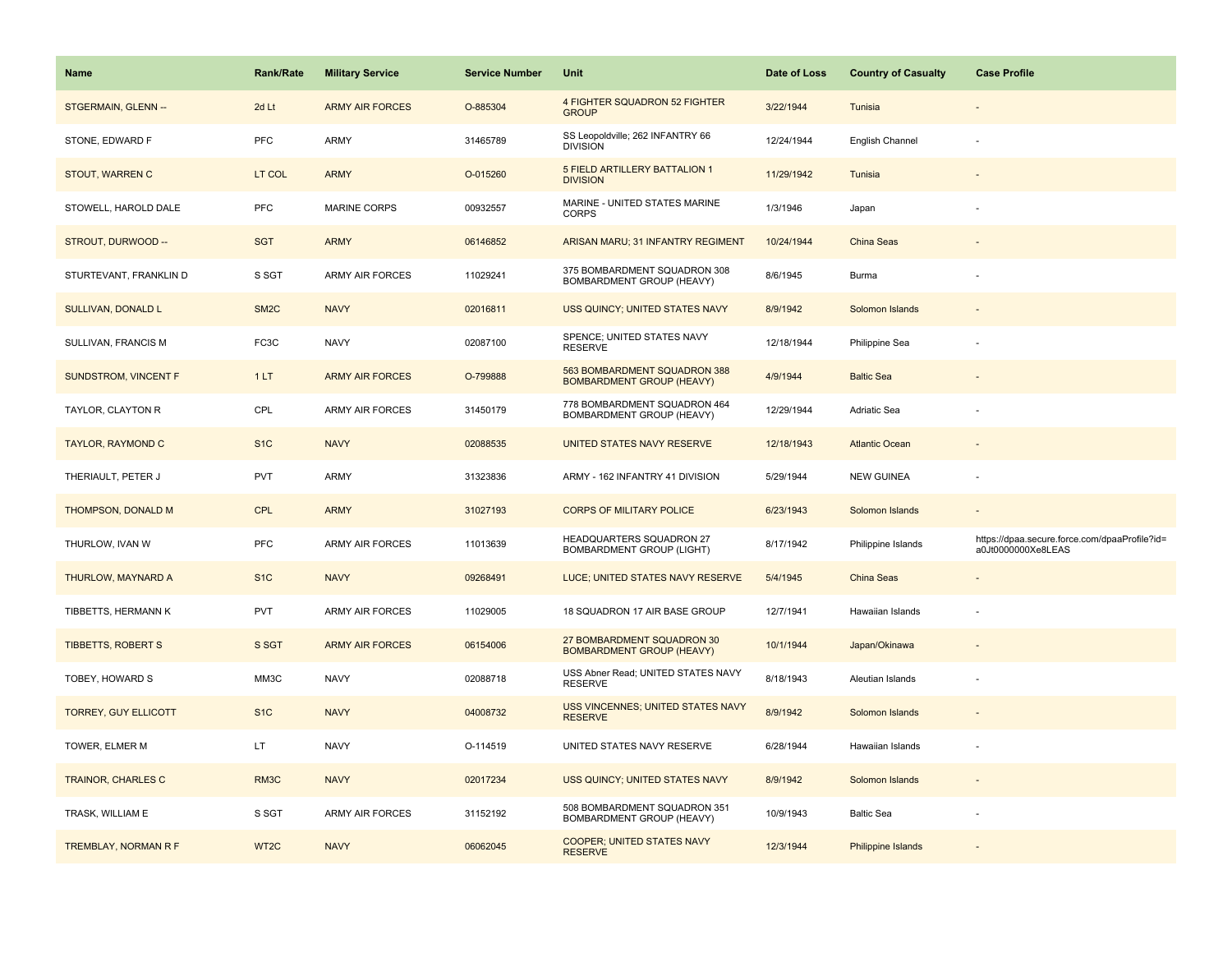| <b>Name</b>                 | Rank/Rate         | <b>Military Service</b> | <b>Service Number</b> | Unit                                                             | Date of Loss | <b>Country of Casualty</b> | <b>Case Profile</b>                                                 |
|-----------------------------|-------------------|-------------------------|-----------------------|------------------------------------------------------------------|--------------|----------------------------|---------------------------------------------------------------------|
| STGERMAIN, GLENN --         | 2d Lt             | <b>ARMY AIR FORCES</b>  | O-885304              | 4 FIGHTER SQUADRON 52 FIGHTER<br><b>GROUP</b>                    | 3/22/1944    | Tunisia                    |                                                                     |
| STONE, EDWARD F             | <b>PFC</b>        | ARMY                    | 31465789              | SS Leopoldville; 262 INFANTRY 66<br><b>DIVISION</b>              | 12/24/1944   | English Channel            |                                                                     |
| STOUT, WARREN C             | LT COL            | <b>ARMY</b>             | O-015260              | 5 FIELD ARTILLERY BATTALION 1<br><b>DIVISION</b>                 | 11/29/1942   | Tunisia                    |                                                                     |
| STOWELL, HAROLD DALE        | <b>PFC</b>        | <b>MARINE CORPS</b>     | 00932557              | MARINE - UNITED STATES MARINE<br><b>CORPS</b>                    | 1/3/1946     | Japan                      |                                                                     |
| STROUT, DURWOOD --          | <b>SGT</b>        | <b>ARMY</b>             | 06146852              | ARISAN MARU; 31 INFANTRY REGIMENT                                | 10/24/1944   | <b>China Seas</b>          |                                                                     |
| STURTEVANT, FRANKLIN D      | S SGT             | <b>ARMY AIR FORCES</b>  | 11029241              | 375 BOMBARDMENT SQUADRON 308<br>BOMBARDMENT GROUP (HEAVY)        | 8/6/1945     | Burma                      |                                                                     |
| SULLIVAN, DONALD L          | SM <sub>2</sub> C | <b>NAVY</b>             | 02016811              | USS QUINCY; UNITED STATES NAVY                                   | 8/9/1942     | Solomon Islands            |                                                                     |
| SULLIVAN, FRANCIS M         | FC3C              | <b>NAVY</b>             | 02087100              | SPENCE; UNITED STATES NAVY<br><b>RESERVE</b>                     | 12/18/1944   | Philippine Sea             |                                                                     |
| SUNDSTROM, VINCENT F        | 1LT               | <b>ARMY AIR FORCES</b>  | O-799888              | 563 BOMBARDMENT SQUADRON 388<br><b>BOMBARDMENT GROUP (HEAVY)</b> | 4/9/1944     | <b>Baltic Sea</b>          |                                                                     |
| TAYLOR, CLAYTON R           | CPL               | <b>ARMY AIR FORCES</b>  | 31450179              | 778 BOMBARDMENT SQUADRON 464<br>BOMBARDMENT GROUP (HEAVY)        | 12/29/1944   | Adriatic Sea               |                                                                     |
| <b>TAYLOR, RAYMOND C</b>    | S <sub>1</sub> C  | <b>NAVY</b>             | 02088535              | UNITED STATES NAVY RESERVE                                       | 12/18/1943   | <b>Atlantic Ocean</b>      |                                                                     |
| THERIAULT, PETER J          | <b>PVT</b>        | <b>ARMY</b>             | 31323836              | ARMY - 162 INFANTRY 41 DIVISION                                  | 5/29/1944    | <b>NEW GUINEA</b>          |                                                                     |
| THOMPSON, DONALD M          | <b>CPL</b>        | <b>ARMY</b>             | 31027193              | <b>CORPS OF MILITARY POLICE</b>                                  | 6/23/1943    | Solomon Islands            |                                                                     |
| THURLOW, IVAN W             | <b>PFC</b>        | <b>ARMY AIR FORCES</b>  | 11013639              | HEADQUARTERS SQUADRON 27<br><b>BOMBARDMENT GROUP (LIGHT)</b>     | 8/17/1942    | Philippine Islands         | https://dpaa.secure.force.com/dpaaProfile?id=<br>a0Jt0000000Xe8LEAS |
| THURLOW, MAYNARD A          | S <sub>1</sub> C  | <b>NAVY</b>             | 09268491              | LUCE; UNITED STATES NAVY RESERVE                                 | 5/4/1945     | China Seas                 | $\overline{\phantom{a}}$                                            |
| TIBBETTS, HERMANN K         | <b>PVT</b>        | <b>ARMY AIR FORCES</b>  | 11029005              | 18 SQUADRON 17 AIR BASE GROUP                                    | 12/7/1941    | Hawaiian Islands           | $\overline{\phantom{a}}$                                            |
| <b>TIBBETTS, ROBERT S</b>   | S SGT             | <b>ARMY AIR FORCES</b>  | 06154006              | 27 BOMBARDMENT SQUADRON 30<br><b>BOMBARDMENT GROUP (HEAVY)</b>   | 10/1/1944    | Japan/Okinawa              |                                                                     |
| TOBEY, HOWARD S             | MM3C              | <b>NAVY</b>             | 02088718              | USS Abner Read; UNITED STATES NAVY<br><b>RESERVE</b>             | 8/18/1943    | Aleutian Islands           |                                                                     |
| <b>TORREY, GUY ELLICOTT</b> | S <sub>1</sub> C  | <b>NAVY</b>             | 04008732              | USS VINCENNES; UNITED STATES NAVY<br><b>RESERVE</b>              | 8/9/1942     | Solomon Islands            |                                                                     |
| TOWER, ELMER M              | LT.               | <b>NAVY</b>             | O-114519              | UNITED STATES NAVY RESERVE                                       | 6/28/1944    | Hawaiian Islands           |                                                                     |
| <b>TRAINOR, CHARLES C</b>   | RM <sub>3</sub> C | <b>NAVY</b>             | 02017234              | USS QUINCY; UNITED STATES NAVY                                   | 8/9/1942     | Solomon Islands            |                                                                     |
| TRASK, WILLIAM E            | S SGT             | <b>ARMY AIR FORCES</b>  | 31152192              | 508 BOMBARDMENT SQUADRON 351<br>BOMBARDMENT GROUP (HEAVY)        | 10/9/1943    | <b>Baltic Sea</b>          |                                                                     |
| TREMBLAY, NORMAN R F        | WT <sub>2</sub> C | <b>NAVY</b>             | 06062045              | COOPER; UNITED STATES NAVY<br><b>RESERVE</b>                     | 12/3/1944    | <b>Philippine Islands</b>  |                                                                     |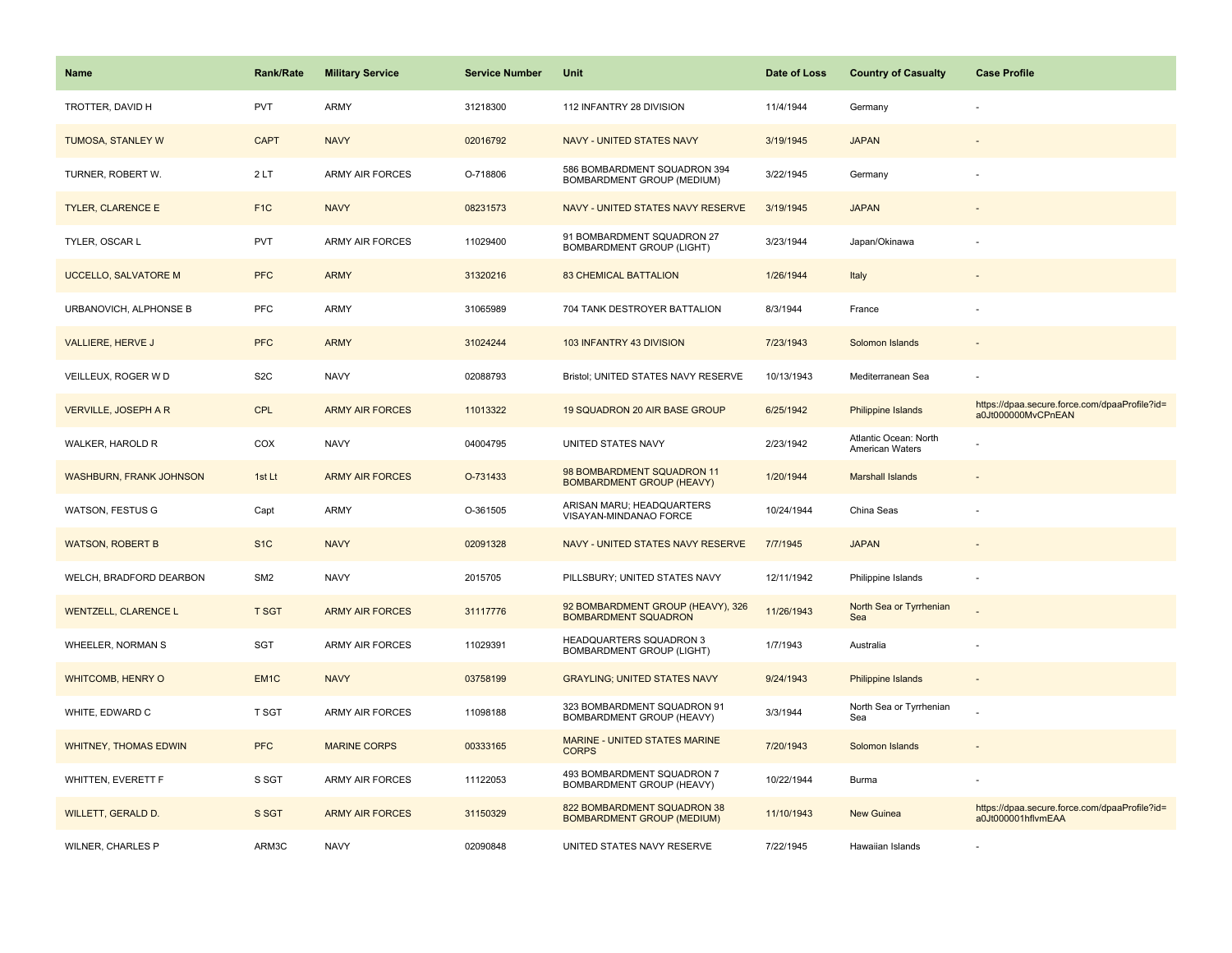| <b>Name</b>                    | Rank/Rate        | <b>Military Service</b> | <b>Service Number</b> | Unit                                                             | Date of Loss | <b>Country of Casualty</b>               | <b>Case Profile</b>                                                 |
|--------------------------------|------------------|-------------------------|-----------------------|------------------------------------------------------------------|--------------|------------------------------------------|---------------------------------------------------------------------|
| TROTTER, DAVID H               | <b>PVT</b>       | ARMY                    | 31218300              | 112 INFANTRY 28 DIVISION                                         | 11/4/1944    | Germany                                  |                                                                     |
| <b>TUMOSA, STANLEY W</b>       | <b>CAPT</b>      | <b>NAVY</b>             | 02016792              | NAVY - UNITED STATES NAVY                                        | 3/19/1945    | <b>JAPAN</b>                             |                                                                     |
| TURNER, ROBERT W.              | 2LT              | <b>ARMY AIR FORCES</b>  | O-718806              | 586 BOMBARDMENT SQUADRON 394<br>BOMBARDMENT GROUP (MEDIUM)       | 3/22/1945    | Germany                                  |                                                                     |
| <b>TYLER, CLARENCE E</b>       | F <sub>1</sub> C | <b>NAVY</b>             | 08231573              | NAVY - UNITED STATES NAVY RESERVE                                | 3/19/1945    | <b>JAPAN</b>                             |                                                                     |
| TYLER, OSCAR L                 | <b>PVT</b>       | <b>ARMY AIR FORCES</b>  | 11029400              | 91 BOMBARDMENT SQUADRON 27<br><b>BOMBARDMENT GROUP (LIGHT)</b>   | 3/23/1944    | Japan/Okinawa                            |                                                                     |
| <b>UCCELLO, SALVATORE M</b>    | <b>PFC</b>       | <b>ARMY</b>             | 31320216              | <b>83 CHEMICAL BATTALION</b>                                     | 1/26/1944    | Italy                                    |                                                                     |
| URBANOVICH, ALPHONSE B         | <b>PFC</b>       | ARMY                    | 31065989              | 704 TANK DESTROYER BATTALION                                     | 8/3/1944     | France                                   |                                                                     |
| <b>VALLIERE, HERVE J</b>       | <b>PFC</b>       | <b>ARMY</b>             | 31024244              | 103 INFANTRY 43 DIVISION                                         | 7/23/1943    | Solomon Islands                          |                                                                     |
| VEILLEUX, ROGER W D            | S <sub>2</sub> C | <b>NAVY</b>             | 02088793              | Bristol; UNITED STATES NAVY RESERVE                              | 10/13/1943   | Mediterranean Sea                        |                                                                     |
| <b>VERVILLE, JOSEPH A R</b>    | <b>CPL</b>       | <b>ARMY AIR FORCES</b>  | 11013322              | 19 SQUADRON 20 AIR BASE GROUP                                    | 6/25/1942    | Philippine Islands                       | https://dpaa.secure.force.com/dpaaProfile?id=<br>a0Jt000000MvCPnEAN |
| WALKER, HAROLD R               | COX              | <b>NAVY</b>             | 04004795              | UNITED STATES NAVY                                               | 2/23/1942    | Atlantic Ocean: North<br>American Waters |                                                                     |
| <b>WASHBURN, FRANK JOHNSON</b> | 1st Lt           | <b>ARMY AIR FORCES</b>  | O-731433              | 98 BOMBARDMENT SQUADRON 11<br><b>BOMBARDMENT GROUP (HEAVY)</b>   | 1/20/1944    | <b>Marshall Islands</b>                  |                                                                     |
| <b>WATSON, FESTUS G</b>        | Capt             | <b>ARMY</b>             | O-361505              | ARISAN MARU; HEADQUARTERS<br>VISAYAN-MINDANAO FORCE              | 10/24/1944   | China Seas                               |                                                                     |
| <b>WATSON, ROBERT B</b>        | S <sub>1</sub> C | <b>NAVY</b>             | 02091328              | NAVY - UNITED STATES NAVY RESERVE                                | 7/7/1945     | <b>JAPAN</b>                             |                                                                     |
| WELCH, BRADFORD DEARBON        | SM <sub>2</sub>  | <b>NAVY</b>             | 2015705               | PILLSBURY; UNITED STATES NAVY                                    | 12/11/1942   | Philippine Islands                       | ÷,                                                                  |
| <b>WENTZELL, CLARENCE L</b>    | <b>T SGT</b>     | <b>ARMY AIR FORCES</b>  | 31117776              | 92 BOMBARDMENT GROUP (HEAVY), 326<br>BOMBARDMENT SQUADRON        | 11/26/1943   | North Sea or Tyrrhenian<br>Sea           | ÷.                                                                  |
| WHEELER, NORMAN S              | SGT              | <b>ARMY AIR FORCES</b>  | 11029391              | HEADQUARTERS SQUADRON 3<br><b>BOMBARDMENT GROUP (LIGHT)</b>      | 1/7/1943     | Australia                                |                                                                     |
| <b>WHITCOMB, HENRY O</b>       | EM <sub>1C</sub> | <b>NAVY</b>             | 03758199              | <b>GRAYLING; UNITED STATES NAVY</b>                              | 9/24/1943    | Philippine Islands                       |                                                                     |
| WHITE, EDWARD C                | T SGT            | ARMY AIR FORCES         | 11098188              | 323 BOMBARDMENT SQUADRON 91<br>BOMBARDMENT GROUP (HEAVY)         | 3/3/1944     | North Sea or Tyrrhenian<br>Sea           |                                                                     |
| <b>WHITNEY, THOMAS EDWIN</b>   | <b>PFC</b>       | <b>MARINE CORPS</b>     | 00333165              | <b>MARINE - UNITED STATES MARINE</b><br><b>CORPS</b>             | 7/20/1943    | Solomon Islands                          |                                                                     |
| WHITTEN, EVERETT F             | S SGT            | <b>ARMY AIR FORCES</b>  | 11122053              | 493 BOMBARDMENT SQUADRON 7<br>BOMBARDMENT GROUP (HEAVY)          | 10/22/1944   | Burma                                    |                                                                     |
| WILLETT, GERALD D.             | S SGT            | <b>ARMY AIR FORCES</b>  | 31150329              | 822 BOMBARDMENT SQUADRON 38<br><b>BOMBARDMENT GROUP (MEDIUM)</b> | 11/10/1943   | <b>New Guinea</b>                        | https://dpaa.secure.force.com/dpaaProfile?id=<br>a0Jt000001hflvmEAA |
| WILNER, CHARLES P              | ARM3C            | <b>NAVY</b>             | 02090848              | UNITED STATES NAVY RESERVE                                       | 7/22/1945    | Hawaiian Islands                         |                                                                     |